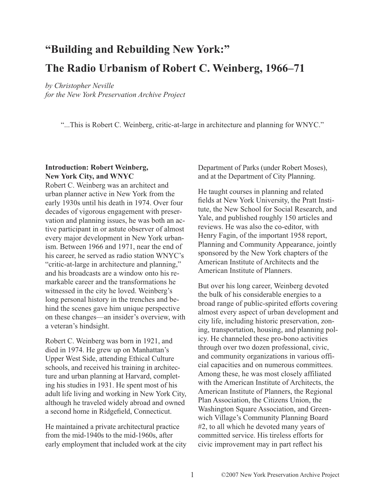# **"Building and Rebuilding New York:" The Radio Urbanism of Robert C. Weinberg, 1966–71**

*by Christopher Neville*

*for the New York Preservation Archive Project*

"...This is Robert C. Weinberg, critic-at-large in architecture and planning for WNYC."

## **Introduction: Robert Weinberg, New York City, and WNYC**

Robert C. Weinberg was an architect and urban planner active in New York from the early 1930s until his death in 1974. Over four decades of vigorous engagement with preservation and planning issues, he was both an active participant in or astute observer of almost every major development in New York urbanism. Between 1966 and 1971, near the end of his career, he served as radio station WNYC's "critic-at-large in architecture and planning," and his broadcasts are a window onto his remarkable career and the transformations he witnessed in the city he loved. Weinberg's long personal history in the trenches and behind the scenes gave him unique perspective on these changes—an insider's overview, with a veteran's hindsight.

Robert C. Weinberg was born in 1921, and died in 1974. He grew up on Manhattan's Upper West Side, attending Ethical Culture schools, and received his training in architecture and urban planning at Harvard, completing his studies in 1931. He spent most of his adult life living and working in New York City, although he traveled widely abroad and owned a second home in Ridgefield, Connecticut.

He maintained a private architectural practice from the mid-1940s to the mid-1960s, after early employment that included work at the city Department of Parks (under Robert Moses), and at the Department of City Planning.

He taught courses in planning and related fields at New York University, the Pratt Institute, the New School for Social Research, and Yale, and published roughly 150 articles and reviews. He was also the co-editor, with Henry Fagin, of the important 1958 report, Planning and Community Appearance, jointly sponsored by the New York chapters of the American Institute of Architects and the American Institute of Planners.

But over his long career, Weinberg devoted the bulk of his considerable energies to a broad range of public-spirited efforts covering almost every aspect of urban development and city life, including historic preservation, zoning, transportation, housing, and planning policy. He channeled these pro-bono activities through over two dozen professional, civic, and community organizations in various official capacities and on numerous committees. Among these, he was most closely affiliated with the American Institute of Architects, the American Institute of Planners, the Regional Plan Association, the Citizens Union, the Washington Square Association, and Greenwich Village's Community Planning Board #2, to all which he devoted many years of committed service. His tireless efforts for civic improvement may in part reflect his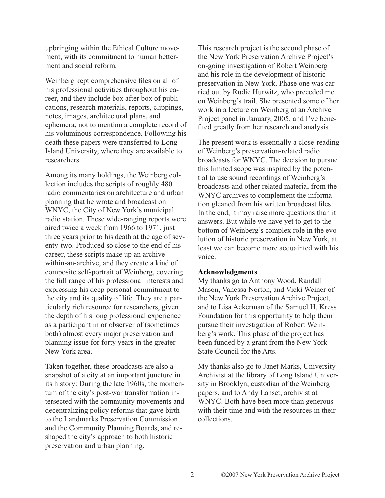upbringing within the Ethical Culture movement, with its commitment to human betterment and social reform.

Weinberg kept comprehensive files on all of his professional activities throughout his career, and they include box after box of publications, research materials, reports, clippings, notes, images, architectural plans, and ephemera, not to mention a complete record of his voluminous correspondence. Following his death these papers were transferred to Long Island University, where they are available to researchers.

Among its many holdings, the Weinberg collection includes the scripts of roughly 480 radio commentaries on architecture and urban planning that he wrote and broadcast on WNYC, the City of New York's municipal radio station. These wide-ranging reports were aired twice a week from 1966 to 1971, just three years prior to his death at the age of seventy-two. Produced so close to the end of his career, these scripts make up an archivewithin-an-archive, and they create a kind of composite self-portrait of Weinberg, covering the full range of his professional interests and expressing his deep personal commitment to the city and its quality of life. They are a particularly rich resource for researchers, given the depth of his long professional experience as a participant in or observer of (sometimes both) almost every major preservation and planning issue for forty years in the greater New York area.

Taken together, these broadcasts are also a snapshot of a city at an important juncture in its history: During the late 1960s, the momentum of the city's post-war transformation intersected with the community movements and decentralizing policy reforms that gave birth to the Landmarks Preservation Commission and the Community Planning Boards, and reshaped the city's approach to both historic preservation and urban planning.

This research project is the second phase of the New York Preservation Archive Project's on-going investigation of Robert Weinberg and his role in the development of historic preservation in New York. Phase one was carried out by Rudie Hurwitz, who preceded me on Weinberg's trail. She presented some of her work in a lecture on Weinberg at an Archive Project panel in January, 2005, and I've benefited greatly from her research and analysis.

The present work is essentially a close-reading of Weinberg's preservation-related radio broadcasts for WNYC. The decision to pursue this limited scope was inspired by the potential to use sound recordings of Weinberg's broadcasts and other related material from the WNYC archives to complement the information gleaned from his written broadcast files. In the end, it may raise more questions than it answers. But while we have yet to get to the bottom of Weinberg's complex role in the evolution of historic preservation in New York, at least we can become more acquainted with his voice.

#### **Acknowledgments**

My thanks go to Anthony Wood, Randall Mason, Vanessa Norton, and Vicki Weiner of the New York Preservation Archive Project, and to Lisa Ackerman of the Samuel H. Kress Foundation for this opportunity to help them pursue their investigation of Robert Weinberg's work. This phase of the project has been funded by a grant from the New York State Council for the Arts.

My thanks also go to Janet Marks, University Archivist at the library of Long Island University in Brooklyn, custodian of the Weinberg papers, and to Andy Lanset, archivist at WNYC. Both have been more than generous with their time and with the resources in their collections.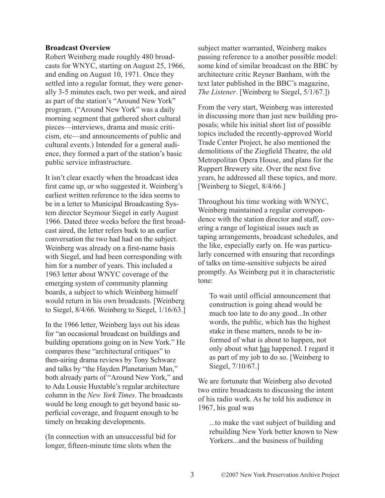#### **Broadcast Overview**

Robert Weinberg made roughly 480 broadcasts for WNYC, starting on August 25, 1966, and ending on August 10, 1971. Once they settled into a regular format, they were generally 3-5 minutes each, two per week, and aired as part of the station's "Around New York" program. ("Around New York" was a daily morning segment that gathered short cultural pieces—interviews, drama and music criticism, etc—and announcements of public and cultural events.) Intended for a general audience, they formed a part of the station's basic public service infrastructure.

It isn't clear exactly when the broadcast idea first came up, or who suggested it. Weinberg's earliest written reference to the idea seems to be in a letter to Municipal Broadcasting System director Seymour Siegel in early August 1966. Dated three weeks before the first broadcast aired, the letter refers back to an earlier conversation the two had had on the subject. Weinberg was already on a first-name basis with Siegel, and had been corresponding with him for a number of years. This included a 1963 letter about WNYC coverage of the emerging system of community planning boards, a subject to which Weinberg himself would return in his own broadcasts. [Weinberg to Siegel, 8/4/66. Weinberg to Siegel, 1/16/63.]

In the 1966 letter, Weinberg lays out his ideas for "an occasional broadcast on buildings and building operations going on in New York." He compares these "architectural critiques" to then-airing drama reviews by Tony Schwarz and talks by "the Hayden Planetarium Man," both already parts of "Around New York," and to Ada Lousie Huxtable's regular architecture column in the *New York Times*. The broadcasts would be long enough to get beyond basic superficial coverage, and frequent enough to be timely on breaking developments.

(In connection with an unsuccessful bid for longer, fifteen-minute time slots when the

subject matter warranted, Weinberg makes passing reference to a another possible model: some kind of similar broadcast on the BBC by architecture critic Reyner Banham, with the text later published in the BBC's magazine, *The Listener*. [Weinberg to Siegel, 5/1/67.])

From the very start, Weinberg was interested in discussing more than just new building proposals; while his initial short list of possible topics included the recently-approved World Trade Center Project, he also mentioned the demolitions of the Ziegfield Theatre, the old Metropolitan Opera House, and plans for the Ruppert Brewery site. Over the next five years, he addressed all these topics, and more. [Weinberg to Siegel, 8/4/66.]

Throughout his time working with WNYC, Weinberg maintained a regular correspondence with the station director and staff, covering a range of logistical issues such as taping arrangements, broadcast schedules, and the like, especially early on. He was particularly concerned with ensuring that recordings of talks on time-sensitive subjects be aired promptly. As Weinberg put it in characteristic tone:

To wait until official announcement that construction is going ahead would be much too late to do any good...In other words, the public, which has the highest stake in these matters, needs to be informed of what is about to happen, not only about what has happened. I regard it as part of my job to do so. [Weinberg to Siegel, 7/10/67.]

We are fortunate that Weinberg also devoted two entire broadcasts to discussing the intent of his radio work. As he told his audience in 1967, his goal was

...to make the vast subject of building and rebuilding New York better known to New Yorkers...and the business of building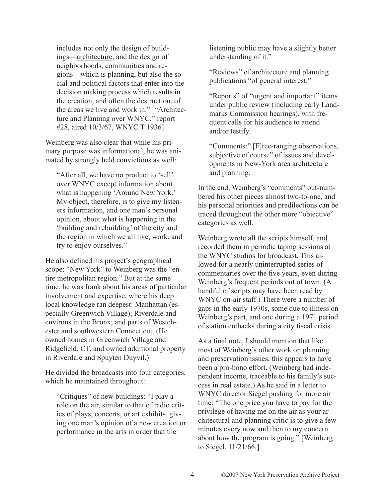includes not only the design of buildings—architecture, and the design of neighborhoods, communities and regions—which is planning, but also the social and political factors that enter into the decision making process which results in the creation, and often the destruction, of the areas we live and work in." ["Architecture and Planning over WNYC," report #28, aired 10/3/67, WNYC T 1936]

Weinberg was also clear that while his primary purpose was informational, he was animated by strongly held convictions as well:

"After all, we have no product to 'sell' over WNYC except information about what is happening 'Around New York.' My object, therefore, is to give my listeners information, and one man's personal opinion, about what is happening in the 'building and rebuilding' of the city and the region in which we all live, work, and try to enjoy ourselves."

He also defined his project's geographical scope: "New York" to Weinberg was the "entire metropolitan region." But at the same time, he was frank about his areas of particular involvement and expertise, where his deep local knowledge ran deepest: Manhattan (especially Greenwich Village); Riverdale and environs in the Bronx; and parts of Westchester and southwestern Connecticut. (He owned homes in Greenwich Village and Ridgefield, CT, and owned additional property in Riverdale and Spuyten Duyvil.)

He divided the broadcasts into four categories, which he maintained throughout:

"Critiques" of new buildings: "I play a role on the air, similar to that of radio critics of plays, concerts, or art exhibits, giving one man's opinion of a new creation or performance in the arts in order that the

listening public may have a slightly better understanding of it."

"Reviews" of architecture and planning publications "of general interest."

"Reports" of "urgent and important" items under public review (including early Landmarks Commission hearings), with frequent calls for his audience to attend and/or testify.

"Comments:" [F]ree-ranging observations, subjective of course" of issues and developments in New-York area architecture and planning.

In the end, Weinberg's "comments" out-numbered his other pieces almost two-to-one, and his personal priorities and predilections can be traced throughout the other more "objective" categories as well.

Weinberg wrote all the scripts himself, and recorded them in periodic taping sessions at the WNYC studios for broadcast. This allowed for a nearly uninterrupted series of commentaries over the five years, even during Weinberg's frequent periods out of town. (A handful of scripts may have been read by WNYC on-air staff.) There were a number of gaps in the early 1970s, some due to illness on Weinberg's part, and one during a 1971 period of station cutbacks during a city fiscal crisis.

As a final note, I should mention that like most of Weinberg's other work on planning and preservation issues, this appears to have been a pro-bono effort. (Weinberg had independent income, traceable to his family's success in real estate.) As he said in a letter to WNYC director Siegel pushing for more air time: "The one price you have to pay for the privilege of having me on the air as your architectural and planning critic is to give a few minutes every now and then to my concern about how the program is going." [Weinberg to Siegel, 11/21/66.]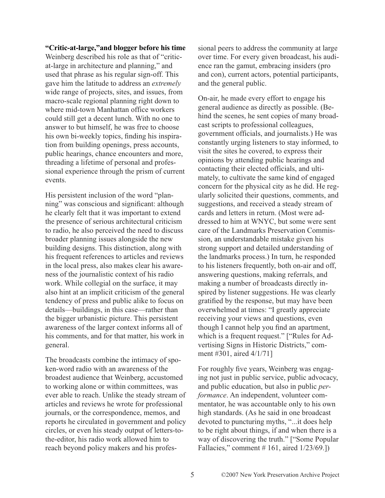#### **"Critic-at-large,"and blogger before his time**

Weinberg described his role as that of "criticat-large in architecture and planning," and used that phrase as his regular sign-off. This gave him the latitude to address an *extremely* wide range of projects, sites, and issues, from macro-scale regional planning right down to where mid-town Manhattan office workers could still get a decent lunch. With no one to answer to but himself, he was free to choose his own bi-weekly topics, finding his inspiration from building openings, press accounts, public hearings, chance encounters and more, threading a lifetime of personal and professional experience through the prism of current events.

His persistent inclusion of the word "planning" was conscious and significant: although he clearly felt that it was important to extend the presence of serious architectural criticism to radio, he also perceived the need to discuss broader planning issues alongside the new building designs. This distinction, along with his frequent references to articles and reviews in the local press, also makes clear his awareness of the journalistic context of his radio work. While collegial on the surface, it may also hint at an implicit criticism of the general tendency of press and public alike to focus on details—buildings, in this case—rather than the bigger urbanistic picture. This persistent awareness of the larger context informs all of his comments, and for that matter, his work in general.

The broadcasts combine the intimacy of spoken-word radio with an awareness of the broadest audience that Weinberg, accustomed to working alone or within committees, was ever able to reach. Unlike the steady stream of articles and reviews he wrote for professional journals, or the correspondence, memos, and reports he circulated in government and policy circles, or even his steady output of letters-tothe-editor, his radio work allowed him to reach beyond policy makers and his professional peers to address the community at large over time. For every given broadcast, his audience ran the gamut, embracing insiders (pro and con), current actors, potential participants, and the general public.

On-air, he made every effort to engage his general audience as directly as possible. (Behind the scenes, he sent copies of many broadcast scripts to professional colleagues, government officials, and journalists.) He was constantly urging listeners to stay informed, to visit the sites he covered, to express their opinions by attending public hearings and contacting their elected officials, and ultimately, to cultivate the same kind of engaged concern for the physical city as he did. He regularly solicited their questions, comments, and suggestions, and received a steady stream of cards and letters in return. (Most were addressed to him at WNYC, but some were sent care of the Landmarks Preservation Commission, an understandable mistake given his strong support and detailed understanding of the landmarks process.) In turn, he responded to his listeners frequently, both on-air and off, answering questions, making referrals, and making a number of broadcasts directly inspired by listener suggestions. He was clearly gratified by the response, but may have been overwhelmed at times: "I greatly appreciate receiving your views and questions, even though I cannot help you find an apartment, which is a frequent request." ["Rules for Advertising Signs in Historic Districts," comment #301, aired 4/1/71]

For roughly five years, Weinberg was engaging not just in public service, public advocacy, and public education, but also in public *performance*. An independent, volunteer commentator, he was accountable only to his own high standards. (As he said in one broadcast devoted to puncturing myths, "...it does help to be right about things, if and when there is a way of discovering the truth." ["Some Popular Fallacies," comment # 161, aired 1/23/69.])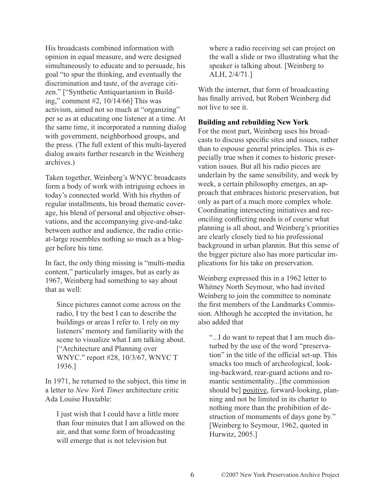His broadcasts combined information with opinion in equal measure, and were designed simultaneously to educate and to persuade, his goal "to spur the thinking, and eventually the discrimination and taste, of the average citizen." ["Synthetic Antiquarianism in Building," comment #2, 10/14/66] This was activism, aimed not so much at "organizing" per se as at educating one listener at a time. At the same time, it incorporated a running dialog with government, neighborhood groups, and the press. (The full extent of this multi-layered dialog awaits further research in the Weinberg archives.)

Taken together, Weinberg's WNYC broadcasts form a body of work with intriguing echoes in today's connected world. With his rhythm of regular installments, his broad thematic coverage, his blend of personal and objective observations, and the accompanying give-and-take between author and audience, the radio criticat-large resembles nothing so much as a blogger before his time.

In fact, the only thing missing is "multi-media content," particularly images, but as early as 1967, Weinberg had something to say about that as well:

Since pictures cannot come across on the radio, I try the best I can to describe the buildings or areas I refer to. I rely on my listeners' memory and familiarity with the scene to visualize what I am talking about. ["Architecture and Planning over WNYC." report #28, 10/3/67, WNYC T 1936.]

In 1971, he returned to the subject, this time in a letter to *New York Times* architecture critic Ada Louise Huxtable:

I just wish that I could have a little more than four minutes that I am allowed on the air, and that some form of broadcasting will emerge that is not television but

where a radio receiving set can project on the wall a slide or two illustrating what the speaker is talking about. [Weinberg to ALH, 2/4/71.]

With the internet, that form of broadcasting has finally arrived, but Robert Weinberg did not live to see it.

## **Building and rebuilding New York**

For the most part, Weinberg uses his broadcasts to discuss specific sites and issues, rather than to espouse general principles. This is especially true when it comes to historic preservation issues. But all his radio pieces are underlain by the same sensibility, and week by week, a certain philosophy emerges, an approach that embraces historic preservation, but only as part of a much more complex whole. Coordinating intersecting initiatives and reconciling conflicting needs is of course what planning is all about, and Weinberg's priorities are clearly closely tied to his professional background in urban plannin. But this sense of the bigger picture also has more particular implications for his take on preservation.

Weinberg expressed this in a 1962 letter to Whitney North Seymour, who had invited Weinberg to join the committee to nominate the first members of the Landmarks Commission. Although he accepted the invitation, he also added that

"...I do want to repeat that I am much disturbed by the use of the word "preservation" in the title of the official set-up. This smacks too much of archeological, looking-backward, rear-guard actions and romantic sentimentality...[the commission should be] positive, forward-looking, planning and not be limited in its charter to nothing more than the prohibition of destruction of monuments of days gone by." [Weinberg to Seymour, 1962, quoted in Hurwitz, 2005.]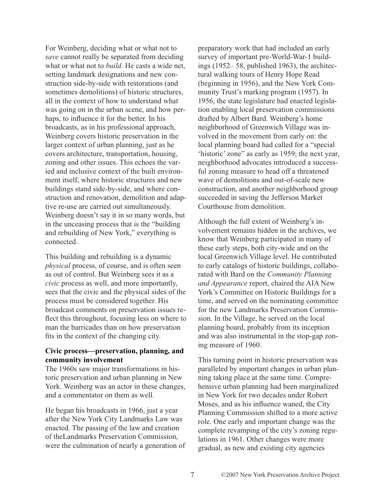For Weinberg, deciding what or what not to *save* cannot really be separated from deciding what or what not to *build*. He casts a wide net, setting landmark designations and new construction side-by-side with restorations (and sometimes demolitions) of historic structures, all in the context of how to understand what was going on in the urban scene, and how perhaps, to influence it for the better. In his broadcasts, as in his professional approach, Weinberg covers historic preservation in the larger context of urban planning, just as he covers architecture, transportation, housing, zoning and other issues. This echoes the varied and inclusive context of the built environment itself, where historic structures and new buildings stand side-by-side, and where construction and renovation, demolition and adaptive re-use are carried out simultaneously. Weinberg doesn't say it in so many words, but in the unceasing process that is the "building and rebuilding of New York," everything is connected.

This building and rebuilding is a dynamic *physical* process, of course, and is often seen as out of control. But Weinberg sees it as a *civic* process as well, and more importantly, sees that the civic and the physical sides of the process must be considered together. His broadcast comments on preservation issues reflect this throughout, focusing less on where to man the barricades than on how preservation fits in the context of the changing city.

## **Civic process—preservation, planning, and community involvement**

The 1960s saw major transformations in historic preservation and urban planning in New York. Weinberg was an actor in these changes, and a commentator on them as well.

He began his broadcasts in 1966, just a year after the New York City Landmarks Law was enacted. The passing of the law and creation of theLandmarks Preservation Commission, were the culmination of nearly a generation of preparatory work that had included an early survey of important pre-World-War-1 buildings (1952– 58, published 1963), the architectural walking tours of Henry Hope Read (beginning in 1956), and the New York Community Trust's marking program (1957). In 1956, the state legislature had enacted legislation enabling local preservation commissions drafted by Albert Bard. Weinberg's home neighborhood of Greenwich Village was involved in the movement from early on: the local planning board had called for a "special 'historic' zone" as early as 1959; the next year, neighborhood advocates introduced a successful zoning measure to head off a threatened wave of demolitions and out-of-scale new construction, and another neighborhood group succeeded in saving the Jefferson Market Courthouse from demolition.

Although the full extent of Weinberg's involvement remains hidden in the archives, we know that Weinberg participated in many of these early steps, both city-wide and on the local Greenwich Village level. He contributed to early catalogs of historic buildings, collaborated with Bard on the *Community Planning and Appearance* report, chaired the AIA New York's Committee on Historic Buildings for a time, and served on the nominating committee for the new Landmarks Preservation Commission. In the Village, he served on the local planning board, probably from its inception and was also instrumental in the stop-gap zoning measure of 1960.

This turning point in historic preservation was paralleled by important changes in urban planning taking place at the same time. Comprehensive urban planning had been marginalized in New York for two decades under Robert Moses, and as his influence waned, the City Planning Commission shifted to a more active role. One early and important change was the complete revamping of the city's zoning regulations in 1961. Other changes were more gradual, as new and existing city agencies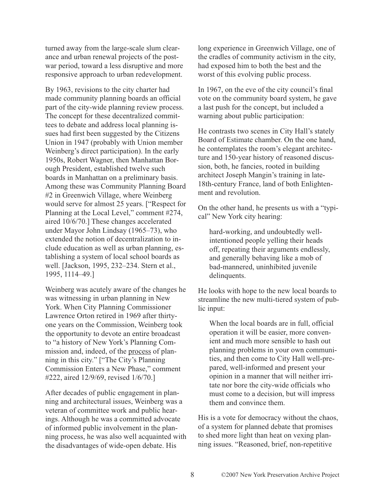turned away from the large-scale slum clearance and urban renewal projects of the postwar period, toward a less disruptive and more responsive approach to urban redevelopment.

By 1963, revisions to the city charter had made community planning boards an official part of the city-wide planning review process. The concept for these decentralized committees to debate and address local planning issues had first been suggested by the Citizens Union in 1947 (probably with Union member Weinberg's direct participation). In the early 1950s, Robert Wagner, then Manhattan Borough President, established twelve such boards in Manhattan on a preliminary basis. Among these was Community Planning Board #2 in Greenwich Village, where Weinberg would serve for almost 25 years. ["Respect for Planning at the Local Level," comment #274, aired 10/6/70.] These changes accelerated under Mayor John Lindsay (1965–73), who extended the notion of decentralization to include education as well as urban planning, establishing a system of local school boards as well. [Jackson, 1995, 232–234. Stern et al., 1995, 1114–49.]

Weinberg was acutely aware of the changes he was witnessing in urban planning in New York. When City Planning Commissioner Lawrence Orton retired in 1969 after thirtyone years on the Commission, Weinberg took the opportunity to devote an entire broadcast to "a history of New York's Planning Commission and, indeed, of the process of planning in this city." ["The City's Planning Commission Enters a New Phase," comment #222, aired 12/9/69, revised 1/6/70.]

After decades of public engagement in planning and architectural issues, Weinberg was a veteran of committee work and public hearings. Although he was a committed advocate of informed public involvement in the planning process, he was also well acquainted with the disadvantages of wide-open debate. His

long experience in Greenwich Village, one of the cradles of community activism in the city, had exposed him to both the best and the worst of this evolving public process.

In 1967, on the eve of the city council's final vote on the community board system, he gave a last push for the concept, but included a warning about public participation:

He contrasts two scenes in City Hall's stately Board of Estimate chamber. On the one hand, he contemplates the room's elegant architecture and 150-year history of reasoned discussion, both, he fancies, rooted in building architect Joseph Mangin's training in late-18th-century France, land of both Enlightenment and revolution.

On the other hand, he presents us with a "typical" New York city hearing:

hard-working, and undoubtedly wellintentioned people yelling their heads off, repeating their arguments endlessly, and generally behaving like a mob of bad-mannered, uninhibited juvenile delinquents.

He looks with hope to the new local boards to streamline the new multi-tiered system of public input:

When the local boards are in full, official operation it will be easier, more convenient and much more sensible to hash out planning problems in your own communities, and then come to City Hall well-prepared, well-informed and present your opinion in a manner that will neither irritate nor bore the city-wide officials who must come to a decision, but will impress them and convince them.

His is a vote for democracy without the chaos, of a system for planned debate that promises to shed more light than heat on vexing planning issues. "Reasoned, brief, non-repetitive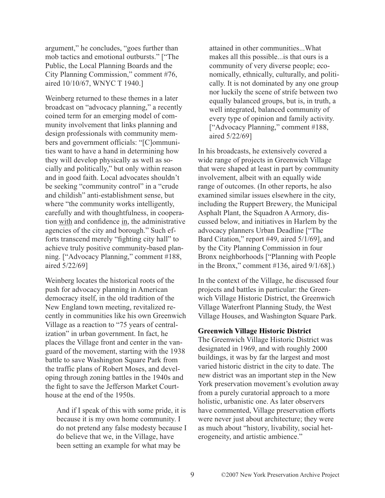argument," he concludes, "goes further than mob tactics and emotional outbursts." ["The Public, the Local Planning Boards and the City Planning Commission," comment #76, aired 10/10/67, WNYC T 1940.]

Weinberg returned to these themes in a later broadcast on "advocacy planning," a recently coined term for an emerging model of community involvement that links planning and design professionals with community members and government officials: "[C]ommunities want to have a hand in determining how they will develop physically as well as socially and politically," but only within reason and in good faith. Local advocates shouldn't be seeking "community control" in a "crude and childish" anti-establishment sense, but where "the community works intelligently, carefully and with thoughtfulness, in cooperation with and confidence in, the administrative agencies of the city and borough." Such efforts transcend merely "fighting city hall" to achieve truly positive community-based planning. ["Advocacy Planning," comment #188, aired 5/22/69]

Weinberg locates the historical roots of the push for advocacy planning in American democracy itself, in the old tradition of the New England town meeting, revitalized recently in communities like his own Greenwich Village as a reaction to "75 years of centralization" in urban government. In fact, he places the Village front and center in the vanguard of the movement, starting with the 1938 battle to save Washington Square Park from the traffic plans of Robert Moses, and developing through zoning battles in the 1940s and the fight to save the Jefferson Market Courthouse at the end of the 1950s.

And if I speak of this with some pride, it is because it is my own home community. I do not pretend any false modesty because I do believe that we, in the Village, have been setting an example for what may be

attained in other communities...What makes all this possible...is that ours is a community of very diverse people; economically, ethnically, culturally, and politically. It is not dominated by any one group nor luckily the scene of strife between two equally balanced groups, but is, in truth, a well integrated, balanced community of every type of opinion and family activity. ["Advocacy Planning," comment #188, aired 5/22/69]

In his broadcasts, he extensively covered a wide range of projects in Greenwich Village that were shaped at least in part by community involvement, albeit with an equally wide range of outcomes. (In other reports, he also examined similar issues elsewhere in the city, including the Ruppert Brewery, the Municipal Asphalt Plant, the Squadron A Armory, discussed below, and initiatives in Harlem by the advocacy planners Urban Deadline ["The Bard Citation," report #49, aired 5/1/69], and by the City Planning Commission in four Bronx neighborhoods ["Planning with People in the Bronx," comment #136, aired 9/1/68].)

In the context of the Village, he discussed four projects and battles in particular: the Greenwich Village Historic District, the Greenwich Village Waterfront Planning Study, the West Village Houses, and Washington Square Park.

#### **Greenwich Village Historic District**

The Greenwich Village Historic District was designated in 1969, and with roughly 2000 buildings, it was by far the largest and most varied historic district in the city to date. The new district was an important step in the New York preservation movement's evolution away from a purely curatorial approach to a more holistic, urbanistic one. As later observers have commented, Village preservation efforts were never just about architecture; they were as much about "history, livability, social heterogeneity, and artistic ambience."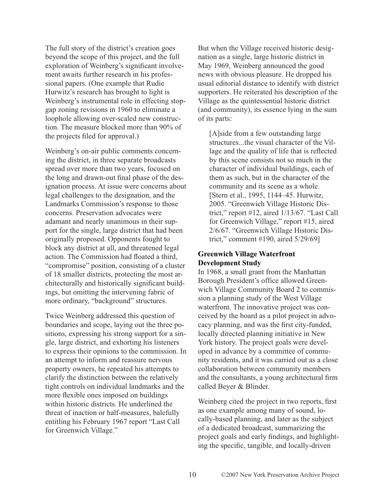The full story of the district's creation goes beyond the scope of this project, and the full exploration of Weinberg's significant involvement awaits further research in his professional papers. (One example that Rudie Hurwitz's research has brought to light is Weinberg's instrumental role in effecting stopgap zoning revisions in 1960 to eliminate a loophole allowing over-scaled new construction. The measure blocked more than 90% of the projects filed for approval.)

Weinberg's on-air public comments concerning the district, in three separate broadcasts spread over more than two years, focused on the long and drawn-out final phase of the designation process. At issue were concerns about legal challenges to the designation, and the Landmarks Commission's response to those concerns. Preservation advocates were adamant and nearly unanimous in their support for the single, large district that had been originally proposed. Opponents fought to block any district at all, and threatened legal action. The Commission had floated a third, "compromise" position, consisting of a cluster of 18 smaller districts, protecting the most architecturally and historically significant buildings, but omitting the intervening fabric of more ordinary, "background" structures.

Twice Weinberg addressed this question of boundaries and scope, laying out the three positions, expressing his strong support for a single, large district, and exhorting his listeners to express their opinions to the commission. In an attempt to inform and reassure nervous property owners, he repeated his attempts to clarify the distinction between the relatively tight controls on individual landmarks and the more flexible ones imposed on buildings within historic districts. He underlined the threat of inaction or half-measures, balefully entitling his February 1967 report "Last Call for Greenwich Village."

But when the Village received historic designation as a single, large historic district in May 1969, Weinberg announced the good news with obvious pleasure. He dropped his usual editorial distance to identify with district supporters. He reiterated his description of the Village as the quintessential historic district (and community), its essence lying in the sum of its parts:

[A]side from a few outstanding large structures...the visual character of the Village and the quality of life that is reflected by this scene consists not so much in the character of individual buildings, each of them as such, but in the character of the community and its scene as a whole. [Stern et al., 1995, 1144–45. Hurwitz, 2005. "Greenwich Village Historic District," report #12, aired 1/13/67. "Last Call for Greenwich Village," report #15, aired 2/6/67. "Greenwich Village Historic District," comment #190, aired 5/29/69]

## **Greenwich Village Waterfront Development Study**

In 1968, a small grant from the Manhattan Borough President's office allowed Greenwich Village Community Board 2 to commission a planning study of the West Village waterfront. The innovative project was conceived by the board as a pilot project in advocacy planning, and was the first city-funded, locally directed planning initiative in New York history. The project goals were developed in advance by a committee of community residents, and it was carried out as a close collaboration between community members and the consultants, a young architectural firm called Beyer & Blinder.

Weinberg cited the project in two reports, first as one example among many of sound, locally-based planning, and later as the subject of a dedicated broadcast, summarizing the project goals and early findings, and highlighting the specific, tangible, and locally-driven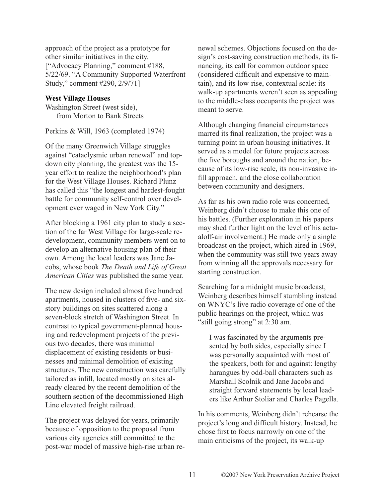approach of the project as a prototype for other similar initiatives in the city. ["Advocacy Planning," comment #188, 5/22/69. "A Community Supported Waterfront Study," comment #290, 2/9/71]

## **West Village Houses**

Washington Street (west side), from Morton to Bank Streets

Perkins & Will, 1963 (completed 1974)

Of the many Greenwich Village struggles against "cataclysmic urban renewal" and topdown city planning, the greatest was the 15 year effort to realize the neighborhood's plan for the West Village Houses. Richard Plunz has called this "the longest and hardest-fought battle for community self-control over development ever waged in New York City."

After blocking a 1961 city plan to study a section of the far West Village for large-scale redevelopment, community members went on to develop an alternative housing plan of their own. Among the local leaders was Jane Jacobs, whose book *The Death and Life of Great American Cities* was published the same year.

The new design included almost five hundred apartments, housed in clusters of five- and sixstory buildings on sites scattered along a seven-block stretch of Washington Street. In contrast to typical government-planned housing and redevelopment projects of the previous two decades, there was minimal displacement of existing residents or businesses and minimal demolition of existing structures. The new construction was carefully tailored as infill, located mostly on sites already cleared by the recent demolition of the southern section of the decommissioned High Line elevated freight railroad.

The project was delayed for years, primarily because of opposition to the proposal from various city agencies still committed to the post-war model of massive high-rise urban renewal schemes. Objections focused on the design's cost-saving construction methods, its financing, its call for common outdoor space (considered difficult and expensive to maintain), and its low-rise, contextual scale: its walk-up apartments weren't seen as appealing to the middle-class occupants the project was meant to serve.

Although changing financial circumstances marred its final realization, the project was a turning point in urban housing initiatives. It served as a model for future projects across the five boroughs and around the nation, because of its low-rise scale, its non-invasive infill approach, and the close collaboration between community and designers.

As far as his own radio role was concerned, Weinberg didn't choose to make this one of his battles. (Further exploration in his papers may shed further light on the level of his actualoff-air involvement.) He made only a single broadcast on the project, which aired in 1969, when the community was still two years away from winning all the approvals necessary for starting construction.

Searching for a midnight music broadcast, Weinberg describes himself stumbling instead on WNYC's live radio coverage of one of the public hearings on the project, which was "still going strong" at 2:30 am.

I was fascinated by the arguments presented by both sides, especially since I was personally acquainted with most of the speakers, both for and against: lengthy harangues by odd-ball characters such as Marshall Scolnik and Jane Jacobs and straight forward statements by local leaders like Arthur Stoliar and Charles Pagella.

In his comments, Weinberg didn't rehearse the project's long and difficult history. Instead, he chose first to focus narrowly on one of the main criticisms of the project, its walk-up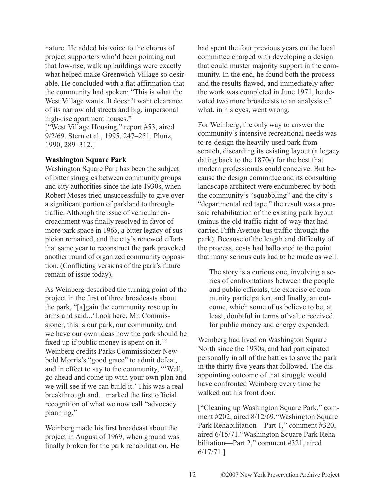nature. He added his voice to the chorus of project supporters who'd been pointing out that low-rise, walk up buildings were exactly what helped make Greenwich Village so desirable. He concluded with a flat affirmation that the community had spoken: "This is what the West Village wants. It doesn't want clearance of its narrow old streets and big, impersonal high-rise apartment houses."

["West Village Housing," report #53, aired 9/2/69. Stern et al., 1995, 247–251. Plunz, 1990, 289–312.]

## **Washington Square Park**

Washington Square Park has been the subject of bitter struggles between community groups and city authorities since the late 1930s, when Robert Moses tried unsuccessfully to give over a significant portion of parkland to throughtraffic. Although the issue of vehicular encroachment was finally resolved in favor of more park space in 1965, a bitter legacy of suspicion remained, and the city's renewed efforts that same year to reconstruct the park provoked another round of organized community opposition. (Conflicting versions of the park's future remain of issue today).

As Weinberg described the turning point of the project in the first of three broadcasts about the park, "[a]gain the community rose up in arms and said...'Look here, Mr. Commissioner, this is our park, our community, and we have our own ideas how the park should be fixed up if public money is spent on it." Weinberg credits Parks Commissioner Newbold Morris's "good grace" to admit defeat, and in effect to say to the community, "'Well, go ahead and come up with your own plan and we will see if we can build it.' This was a real breakthrough and... marked the first official recognition of what we now call "advocacy planning."

Weinberg made his first broadcast about the project in August of 1969, when ground was finally broken for the park rehabilitation. He had spent the four previous years on the local committee charged with developing a design that could muster majority support in the community. In the end, he found both the process and the results flawed, and immediately after the work was completed in June 1971, he devoted two more broadcasts to an analysis of what, in his eyes, went wrong.

For Weinberg, the only way to answer the community's intensive recreational needs was to re-design the heavily-used park from scratch, discarding its existing layout (a legacy dating back to the 1870s) for the best that modern professionals could conceive. But because the design committee and its consulting landscape architect were encumbered by both the community's "squabbling" and the city's "departmental red tape," the result was a prosaic rehabilitation of the existing park layout (minus the old traffic right-of-way that had carried Fifth Avenue bus traffic through the park). Because of the length and difficulty of the process, costs had ballooned to the point that many serious cuts had to be made as well.

The story is a curious one, involving a series of confrontations between the people and public officials, the exercise of community participation, and finally, an outcome, which some of us believe to be, at least, doubtful in terms of value received for public money and energy expended.

Weinberg had lived on Washington Square North since the 1930s, and had participated personally in all of the battles to save the park in the thirty-five years that followed. The disappointing outcome of that struggle would have confronted Weinberg every time he walked out his front door.

["Cleaning up Washington Square Park," comment #202, aired 8/12/69."Washington Square Park Rehabilitation—Part 1," comment #320, aired 6/15/71."Washington Square Park Rehabilitation—Part 2," comment #321, aired 6/17/71.]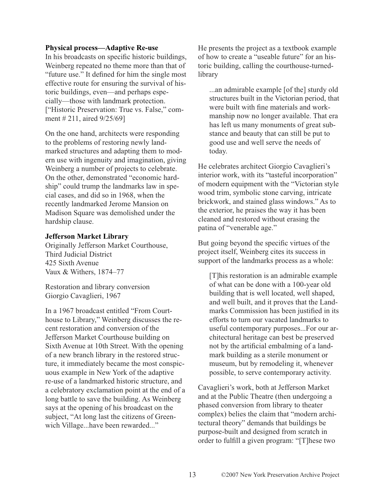## **Physical process—Adaptive Re-use**

In his broadcasts on specific historic buildings, Weinberg repeated no theme more than that of "future use." It defined for him the single most effective route for ensuring the survival of historic buildings, even—and perhaps especially—those with landmark protection. ["Historic Preservation: True vs. False," comment # 211, aired 9/25/69]

On the one hand, architects were responding to the problems of restoring newly landmarked structures and adapting them to modern use with ingenuity and imagination, giving Weinberg a number of projects to celebrate. On the other, demonstrated "economic hardship" could trump the landmarks law in special cases, and did so in 1968, when the recently landmarked Jerome Mansion on Madison Square was demolished under the hardship clause.

## **Jefferson Market Library**

Originally Jefferson Market Courthouse, Third Judicial District 425 Sixth Avenue Vaux & Withers, 1874–77

Restoration and library conversion Giorgio Cavaglieri, 1967

In a 1967 broadcast entitled "From Courthouse to Library," Weinberg discusses the recent restoration and conversion of the Jefferson Market Courthouse building on Sixth Avenue at 10th Street. With the opening of a new branch library in the restored structure, it immediately became the most conspicuous example in New York of the adaptive re-use of a landmarked historic structure, and a celebratory exclamation point at the end of a long battle to save the building. As Weinberg says at the opening of his broadcast on the subject, "At long last the citizens of Greenwich Village...have been rewarded..."

He presents the project as a textbook example of how to create a "useable future" for an historic building, calling the courthouse-turnedlibrary

...an admirable example [of the] sturdy old structures built in the Victorian period, that were built with fine materials and workmanship now no longer available. That era has left us many monuments of great substance and beauty that can still be put to good use and well serve the needs of today.

He celebrates architect Giorgio Cavaglieri's interior work, with its "tasteful incorporation" of modern equipment with the "Victorian style wood trim, symbolic stone carving, intricate brickwork, and stained glass windows." As to the exterior, he praises the way it has been cleaned and restored without erasing the patina of "venerable age."

But going beyond the specific virtues of the project itself, Weinberg cites its success in support of the landmarks process as a whole:

[T]his restoration is an admirable example of what can be done with a 100-year old building that is well located, well shaped, and well built, and it proves that the Landmarks Commission has been justified in its efforts to turn our vacated landmarks to useful contemporary purposes...For our architectural heritage can best be preserved not by the artificial embalming of a landmark building as a sterile monument or museum, but by remodeling it, whenever possible, to serve contemporary activity.

Cavaglieri's work, both at Jefferson Market and at the Public Theatre (then undergoing a phased conversion from library to theater complex) belies the claim that "modern architectural theory" demands that buildings be purpose-built and designed from scratch in order to fulfill a given program: "[T]hese two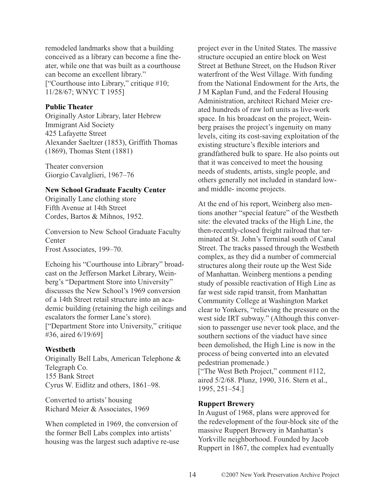remodeled landmarks show that a building conceived as a library can become a fine theater, while one that was built as a courthouse can become an excellent library."

["Courthouse into Library," critique #10; 11/28/67; WNYC T 1955]

## **Public Theater**

Originally Astor Library, later Hebrew Immigrant Aid Society 425 Lafayette Street Alexander Saeltzer (1853), Griffith Thomas (1869), Thomas Stent (1881)

Theater conversion Giorgio Cavalglieri, 1967–76

## **New School Graduate Faculty Center**

Originally Lane clothing store Fifth Avenue at 14th Street Cordes, Bartos & Mihnos, 1952.

Conversion to New School Graduate Faculty **Center** Frost Associates, 199–70.

Echoing his "Courthouse into Library" broadcast on the Jefferson Market Library, Weinberg's "Department Store into University" discusses the New School's 1969 conversion of a 14th Street retail structure into an academic building (retaining the high ceilings and escalators the former Lane's store). ["Department Store into University," critique #36, aired 6/19/69]

#### **Westbeth**

Originally Bell Labs, American Telephone & Telegraph Co. 155 Bank Street Cyrus W. Eidlitz and others, 1861–98.

Converted to artists' housing Richard Meier & Associates, 1969

When completed in 1969, the conversion of the former Bell Labs complex into artists' housing was the largest such adaptive re-use project ever in the United States. The massive structure occupied an entire block on West Street at Bethune Street, on the Hudson River waterfront of the West Village. With funding from the National Endowment for the Arts, the J M Kaplan Fund, and the Federal Housing Administration, architect Richard Meier created hundreds of raw loft units as live-work space. In his broadcast on the project, Weinberg praises the project's ingenuity on many levels, citing its cost-saving exploitation of the existing structure's flexible interiors and grandfathered bulk to spare. He also points out that it was conceived to meet the housing needs of students, artists, single people, and others generally not included in standard lowand middle- income projects.

At the end of his report, Weinberg also mentions another "special feature" of the Westbeth site: the elevated tracks of the High Line, the then-recently-closed freight railroad that terminated at St. John's Terminal south of Canal Street. The tracks passed through the Westbeth complex, as they did a number of commercial structures along their route up the West Side of Manhattan. Weinberg mentions a pending study of possible reactivation of High Line as far west side rapid transit, from Manhattan Community College at Washington Market clear to Yonkers, "relieving the pressure on the west side IRT subway." (Although this conversion to passenger use never took place, and the southern sections of the viaduct have since been demolished, the High Line is now in the process of being converted into an elevated pedestrian promenade.)

["The West Beth Project," comment #112, aired 5/2/68. Plunz, 1990, 316. Stern et al., 1995, 251–54.]

#### **Ruppert Brewery**

In August of 1968, plans were approved for the redevelopment of the four-block site of the massive Ruppert Brewery in Manhattan's Yorkville neighborhood. Founded by Jacob Ruppert in 1867, the complex had eventually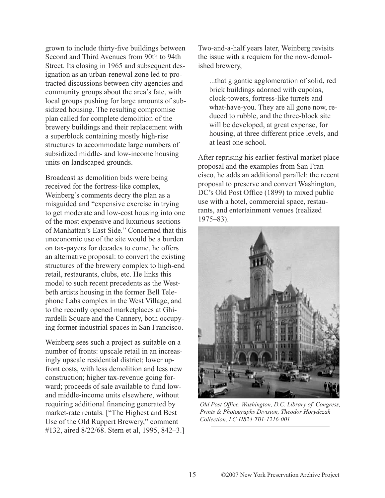grown to include thirty-five buildings between Second and Third Avenues from 90th to 94th Street. Its closing in 1965 and subsequent designation as an urban-renewal zone led to protracted discussions between city agencies and community groups about the area's fate, with local groups pushing for large amounts of subsidized housing. The resulting compromise plan called for complete demolition of the brewery buildings and their replacement with a superblock containing mostly high-rise structures to accommodate large numbers of subsidized middle- and low-income housing units on landscaped grounds.

Broadcast as demolition bids were being received for the fortress-like complex, Weinberg's comments decry the plan as a misguided and "expensive exercise in trying to get moderate and low-cost housing into one of the most expensive and luxurious sections of Manhattan's East Side." Concerned that this uneconomic use of the site would be a burden on tax-payers for decades to come, he offers an alternative proposal: to convert the existing structures of the brewery complex to high-end retail, restaurants, clubs, etc. He links this model to such recent precedents as the Westbeth artists housing in the former Bell Telephone Labs complex in the West Village, and to the recently opened marketplaces at Ghirardelli Square and the Cannery, both occupying former industrial spaces in San Francisco.

Weinberg sees such a project as suitable on a number of fronts: upscale retail in an increasingly upscale residential district; lower upfront costs, with less demolition and less new construction; higher tax-revenue going forward; proceeds of sale available to fund lowand middle-income units elsewhere, without requiring additional financing generated by market-rate rentals. ["The Highest and Best Use of the Old Ruppert Brewery," comment #132, aired 8/22/68. Stern et al, 1995, 842–3.] Two-and-a-half years later, Weinberg revisits the issue with a requiem for the now-demolished brewery,

...that gigantic agglomeration of solid, red brick buildings adorned with cupolas, clock-towers, fortress-like turrets and what-have-you. They are all gone now, reduced to rubble, and the three-block site will be developed, at great expense, for housing, at three different price levels, and at least one school.

After reprising his earlier festival market place proposal and the examples from San Francisco, he adds an additional parallel: the recent proposal to preserve and convert Washington, DC's Old Post Office (1899) to mixed public use with a hotel, commercial space, restaurants, and entertainment venues (realized 1975–83).



*Old Post Office, Washington, D.C. Library of Congress, Prints & Photographs Division, Theodor Horydczak Collection, LC-H824-T01-1216-001*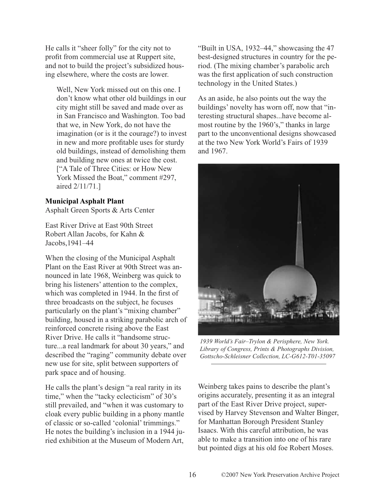He calls it "sheer folly" for the city not to profit from commercial use at Ruppert site, and not to build the project's subsidized housing elsewhere, where the costs are lower.

Well, New York missed out on this one. I don't know what other old buildings in our city might still be saved and made over as in San Francisco and Washington. Too bad that we, in New York, do not have the imagination (or is it the courage?) to invest in new and more profitable uses for sturdy old buildings, instead of demolishing them and building new ones at twice the cost. ["A Tale of Three Cities: or How New York Missed the Boat," comment #297, aired 2/11/71.]

#### **Municipal Asphalt Plant**

Asphalt Green Sports & Arts Center

East River Drive at East 90th Street Robert Allan Jacobs, for Kahn & Jacobs,1941–44

When the closing of the Municipal Asphalt Plant on the East River at 90th Street was announced in late 1968, Weinberg was quick to bring his listeners' attention to the complex, which was completed in 1944. In the first of three broadcasts on the subject, he focuses particularly on the plant's "mixing chamber" building, housed in a striking parabolic arch of reinforced concrete rising above the East River Drive. He calls it "handsome structure...a real landmark for about 30 years," and described the "raging" community debate over new use for site, split between supporters of park space and of housing.

He calls the plant's design "a real rarity in its time," when the "tacky eclecticism" of 30's still prevailed, and "when it was customary to cloak every public building in a phony mantle of classic or so-called 'colonial' trimmings." He notes the building's inclusion in a 1944 juried exhibition at the Museum of Modern Art,

"Built in USA, 1932–44," showcasing the 47 best-designed structures in country for the period. (The mixing chamber's parabolic arch was the first application of such construction technology in the United States.)

As an aside, he also points out the way the buildings' novelty has worn off, now that "interesting structural shapes...have become almost routine by the 1960's," thanks in large part to the unconventional designs showcased at the two New York World's Fairs of 1939 and 1967.



*1939 World's Fair–Trylon & Perisphere, New York. Library of Congress, Prints & Photographs Division, Gottscho-Schleisner Collection, LC-G612-T01-35097*

Weinberg takes pains to describe the plant's origins accurately, presenting it as an integral part of the East River Drive project, supervised by Harvey Stevenson and Walter Binger, for Manhattan Borough President Stanley Isaacs. With this careful attribution, he was able to make a transition into one of his rare but pointed digs at his old foe Robert Moses.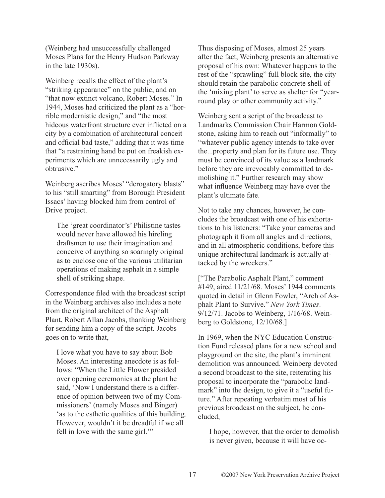(Weinberg had unsuccessfully challenged Moses Plans for the Henry Hudson Parkway in the late 1930s).

Weinberg recalls the effect of the plant's "striking appearance" on the public, and on "that now extinct volcano, Robert Moses." In 1944, Moses had criticized the plant as a "horrible modernistic design," and "the most hideous waterfront structure ever inflicted on a city by a combination of architectural conceit and official bad taste," adding that it was time that "a restraining hand be put on freakish experiments which are unnecessarily ugly and obtrusive."

Weinberg ascribes Moses' "derogatory blasts" to his "still smarting" from Borough President Issacs' having blocked him from control of Drive project.

The 'great coordinator's' Philistine tastes would never have allowed his hireling draftsmen to use their imagination and conceive of anything so soaringly original as to enclose one of the various utilitarian operations of making asphalt in a simple shell of striking shape.

Correspondence filed with the broadcast script in the Weinberg archives also includes a note from the original architect of the Asphalt Plant, Robert Allan Jacobs, thanking Weinberg for sending him a copy of the script. Jacobs goes on to write that,

I love what you have to say about Bob Moses. An interesting anecdote is as follows: "When the Little Flower presided over opening ceremonies at the plant he said, 'Now I understand there is a difference of opinion between two of my Commissioners' (namely Moses and Binger) 'as to the esthetic qualities of this building. However, wouldn't it be dreadful if we all fell in love with the same girl."

Thus disposing of Moses, almost 25 years after the fact, Weinberg presents an alternative proposal of his own: Whatever happens to the rest of the "sprawling" full block site, the city should retain the parabolic concrete shell of the 'mixing plant' to serve as shelter for "yearround play or other community activity."

Weinberg sent a script of the broadcast to Landmarks Commission Chair Harmon Goldstone, asking him to reach out "informally" to "whatever public agency intends to take over the...property and plan for its future use. They must be convinced of its value as a landmark before they are irrevocably committed to demolishing it." Further research may show what influence Weinberg may have over the plant's ultimate fate.

Not to take any chances, however, he concludes the broadcast with one of his exhortations to his listeners: "Take your cameras and photograph it from all angles and directions, and in all atmospheric conditions, before this unique architectural landmark is actually attacked by the wreckers."

["The Parabolic Asphalt Plant," comment #149, aired 11/21/68. Moses' 1944 comments quoted in detail in Glenn Fowler, "Arch of Asphalt Plant to Survive." *New York Times*. 9/12/71. Jacobs to Weinberg, 1/16/68. Weinberg to Goldstone, 12/10/68.]

In 1969, when the NYC Education Construction Fund released plans for a new school and playground on the site, the plant's imminent demolition was announced. Weinberg devoted a second broadcast to the site, reiterating his proposal to incorporate the "parabolic landmark" into the design, to give it a "useful future." After repeating verbatim most of his previous broadcast on the subject, he concluded,

I hope, however, that the order to demolish is never given, because it will have oc-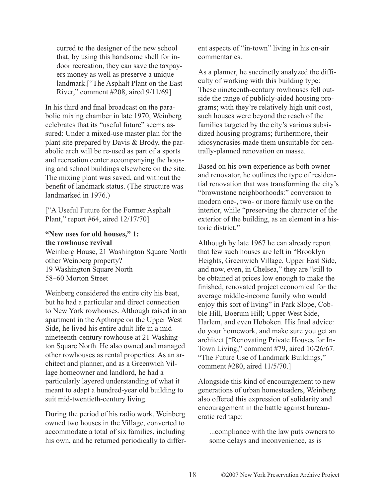curred to the designer of the new school that, by using this handsome shell for indoor recreation, they can save the taxpayers money as well as preserve a unique landmark.["The Asphalt Plant on the East River," comment #208, aired 9/11/69]

In his third and final broadcast on the parabolic mixing chamber in late 1970, Weinberg celebrates that its "useful future" seems assured: Under a mixed-use master plan for the plant site prepared by Davis & Brody, the parabolic arch will be re-used as part of a sports and recreation center accompanying the housing and school buildings elsewhere on the site. The mixing plant was saved, and without the benefit of landmark status. (The structure was landmarked in 1976.)

["A Useful Future for the Former Asphalt Plant," report #64, aired 12/17/70]

## **"New uses for old houses," 1: the rowhouse revival**

Weinberg House, 21 Washington Square North other Weinberg property? 19 Washington Square North 58–60 Morton Street

Weinberg considered the entire city his beat, but he had a particular and direct connection to New York rowhouses. Although raised in an apartment in the Apthorpe on the Upper West Side, he lived his entire adult life in a midnineteenth-century rowhouse at 21 Washington Square North. He also owned and managed other rowhouses as rental properties. As an architect and planner, and as a Greenwich Village homeowner and landlord, he had a particularly layered understanding of what it meant to adapt a hundred-year old building to suit mid-twentieth-century living.

During the period of his radio work, Weinberg owned two houses in the Village, converted to accommodate a total of six families, including his own, and he returned periodically to different aspects of "in-town" living in his on-air commentaries.

As a planner, he succinctly analyzed the difficulty of working with this building type: These nineteenth-century rowhouses fell outside the range of publicly-aided housing programs; with they're relatively high unit cost, such houses were beyond the reach of the families targeted by the city's various subsidized housing programs; furthermore, their idiosyncrasies made them unsuitable for centrally-planned renovation en masse.

Based on his own experience as both owner and renovator, he outlines the type of residential renovation that was transforming the city's "brownstone neighborhoods:" conversion to modern one-, two- or more family use on the interior, while "preserving the character of the exterior of the building, as an element in a historic district."

Although by late 1967 he can already report that few such houses are left in "Brooklyn Heights, Greenwich Village, Upper East Side, and now, even, in Chelsea," they are "still to be obtained at prices low enough to make the finished, renovated project economical for the average middle-income family who would enjoy this sort of living" in Park Slope, Cobble Hill, Boerum Hill; Upper West Side, Harlem, and even Hoboken. His final advice: do your homework, and make sure you get an architect ["Renovating Private Houses for In-Town Living," comment #79, aired 10/26/67. "The Future Use of Landmark Buildings," comment #280, aired 11/5/70.]

Alongside this kind of encouragement to new generations of urban homesteaders, Weinberg also offered this expression of solidarity and encouragement in the battle against bureaucratic red tape:

...compliance with the law puts owners to some delays and inconvenience, as is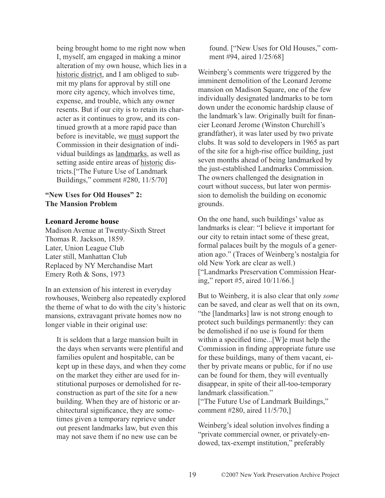being brought home to me right now when I, myself, am engaged in making a minor alteration of my own house, which lies in a historic district, and I am obliged to submit my plans for approval by still one more city agency, which involves time, expense, and trouble, which any owner resents. But if our city is to retain its character as it continues to grow, and its continued growth at a more rapid pace than before is inevitable, we must support the Commission in their designation of individual buildings as landmarks, as well as setting aside entire areas of historic districts.["The Future Use of Landmark Buildings," comment #280, 11/5/70]

## **"New Uses for Old Houses" 2: The Mansion Problem**

## **Leonard Jerome house**

Madison Avenue at Twenty-Sixth Street Thomas R. Jackson, 1859. Later, Union League Club Later still, Manhattan Club Replaced by NY Merchandise Mart Emery Roth & Sons, 1973

In an extension of his interest in everyday rowhouses, Weinberg also repeatedly explored the theme of what to do with the city's historic mansions, extravagant private homes now no longer viable in their original use:

It is seldom that a large mansion built in the days when servants were plentiful and families opulent and hospitable, can be kept up in these days, and when they come on the market they either are used for institutional purposes or demolished for reconstruction as part of the site for a new building. When they are of historic or architectural significance, they are sometimes given a temporary reprieve under out present landmarks law, but even this may not save them if no new use can be

found. ["New Uses for Old Houses," comment #94, aired 1/25/68]

Weinberg's comments were triggered by the imminent demolition of the Leonard Jerome mansion on Madison Square, one of the few individually designated landmarks to be torn down under the economic hardship clause of the landmark's law. Originally built for financier Leonard Jerome (Winston Churchill's grandfather), it was later used by two private clubs. It was sold to developers in 1965 as part of the site for a high-rise office building, just seven months ahead of being landmarked by the just-established Landmarks Commission. The owners challenged the designation in court without success, but later won permission to demolish the building on economic grounds.

On the one hand, such buildings' value as landmarks is clear: "I believe it important for our city to retain intact some of these great, formal palaces built by the moguls of a generation ago." (Traces of Weinberg's nostalgia for old New York are clear as well.) ["Landmarks Preservation Commission Hearing," report #5, aired 10/11/66.]

But to Weinberg, it is also clear that only *some* can be saved, and clear as well that on its own, "the [landmarks] law is not strong enough to protect such buildings permanently: they can be demolished if no use is found for them within a specified time...[W]e must help the Commission in finding appropriate future use for these buildings, many of them vacant, either by private means or public, for if no use can be found for them, they will eventually disappear, in spite of their all-too-temporary landmark classification." ["The Future Use of Landmark Buildings," comment #280, aired 11/5/70,]

Weinberg's ideal solution involves finding a "private commercial owner, or privately-endowed, tax-exempt institution," preferably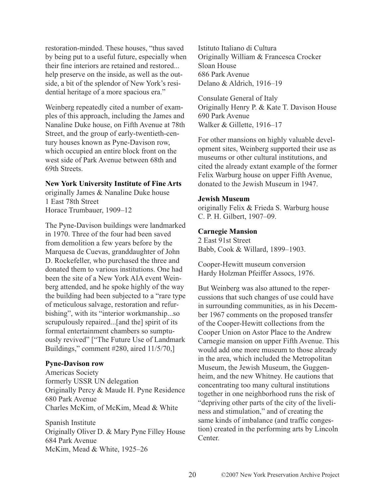restoration-minded. These houses, "thus saved by being put to a useful future, especially when their fine interiors are retained and restored... help preserve on the inside, as well as the outside, a bit of the splendor of New York's residential heritage of a more spacious era."

Weinberg repeatedly cited a number of examples of this approach, including the James and Nanaline Duke house, on Fifth Avenue at 78th Street, and the group of early-twentieth-century houses known as Pyne-Davison row, which occupied an entire block front on the west side of Park Avenue between 68th and 69th Streets.

#### **New York University Institute of Fine Arts**

originally James & Nanaline Duke house 1 East 78th Street Horace Trumbauer, 1909–12

The Pyne-Davison buildings were landmarked in 1970. Three of the four had been saved from demolition a few years before by the Marquesa de Cuevas, granddaughter of John D. Rockefeller, who purchased the three and donated them to various institutions. One had been the site of a New York AIA event Weinberg attended, and he spoke highly of the way the building had been subjected to a "rare type of meticulous salvage, restoration and refurbishing", with its "interior workmanship...so scrupulously repaired...[and the] spirit of its formal entertainment chambers so sumptuously revived" ["The Future Use of Landmark Buildings," comment #280, aired 11/5/70,]

## **Pyne-Davison row**

Americas Society formerly USSR UN delegation Originally Percy & Maude H. Pyne Residence 680 Park Avenue Charles McKim, of McKim, Mead & White

Spanish Institute Originally Oliver D. & Mary Pyne Filley House 684 Park Avenue McKim, Mead & White, 1925–26

Istituto Italiano di Cultura Originally William & Francesca Crocker Sloan House 686 Park Avenue Delano & Aldrich, 1916–19

Consulate General of Italy Originally Henry P. & Kate T. Davison House 690 Park Avenue Walker & Gillette, 1916–17

For other mansions on highly valuable development sites, Weinberg supported their use as museums or other cultural institutions, and cited the already extant example of the former Felix Warburg house on upper Fifth Avenue, donated to the Jewish Museum in 1947.

#### **Jewish Museum**

originally Felix & Frieda S. Warburg house C. P. H. Gilbert, 1907–09.

#### **Carnegie Mansion**

2 East 91st Street Babb, Cook & Willard, 1899–1903.

Cooper-Hewitt museum conversion Hardy Holzman Pfeiffer Assocs, 1976.

But Weinberg was also attuned to the repercussions that such changes of use could have in surrounding communities, as in his December 1967 comments on the proposed transfer of the Cooper-Hewitt collections from the Cooper Union on Astor Place to the Andrew Carnegie mansion on upper Fifth Avenue. This would add one more museum to those already in the area, which included the Metropolitan Museum, the Jewish Museum, the Guggenheim, and the new Whitney. He cautions that concentrating too many cultural institutions together in one neighborhood runs the risk of "depriving other parts of the city of the liveliness and stimulation," and of creating the same kinds of imbalance (and traffic congestion) created in the performing arts by Lincoln Center.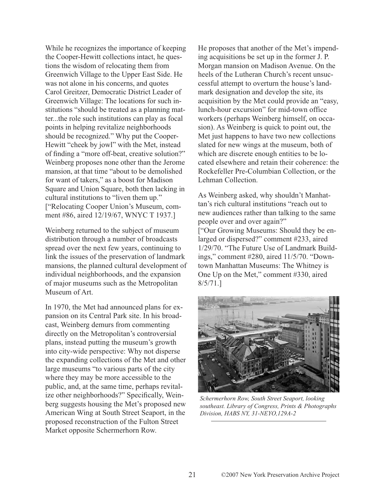While he recognizes the importance of keeping the Cooper-Hewitt collections intact, he questions the wisdom of relocating them from Greenwich Village to the Upper East Side. He was not alone in his concerns, and quotes Carol Greitzer, Democratic District Leader of Greenwich Village: The locations for such institutions "should be treated as a planning matter...the role such institutions can play as focal points in helping revitalize neighborhoods should be recognized." Why put the Cooper-Hewitt "cheek by jowl" with the Met, instead of finding a "more off-beat, creative solution?" Weinberg proposes none other than the Jerome mansion, at that time "about to be demolished for want of takers," as a boost for Madison Square and Union Square, both then lacking in cultural institutions to "liven them up." ["Relocating Cooper Union's Museum, comment #86, aired 12/19/67, WNYC T 1937.]

Weinberg returned to the subject of museum distribution through a number of broadcasts spread over the next few years, continuing to link the issues of the preservation of landmark mansions, the planned cultural development of individual neighborhoods, and the expansion of major museums such as the Metropolitan Museum of Art.

In 1970, the Met had announced plans for expansion on its Central Park site. In his broadcast, Weinberg demurs from commenting directly on the Metropolitan's controversial plans, instead putting the museum's growth into city-wide perspective: Why not disperse the expanding collections of the Met and other large museums "to various parts of the city where they may be more accessible to the public, and, at the same time, perhaps revitalize other neighborhoods?" Specifically, Weinberg suggests housing the Met's proposed new American Wing at South Street Seaport, in the proposed reconstruction of the Fulton Street Market opposite Schermerhorn Row.

He proposes that another of the Met's impending acquisitions be set up in the former J. P. Morgan mansion on Madison Avenue. On the heels of the Lutheran Church's recent unsuccessful attempt to overturn the house's landmark designation and develop the site, its acquisition by the Met could provide an "easy, lunch-hour excursion" for mid-town office workers (perhaps Weinberg himself, on occasion). As Weinberg is quick to point out, the Met just happens to have two new collections slated for new wings at the museum, both of which are discrete enough entities to be located elsewhere and retain their coherence: the Rockefeller Pre-Columbian Collection, or the Lehman Collection.

As Weinberg asked, why shouldn't Manhattan's rich cultural institutions "reach out to new audiences rather than talking to the same people over and over again?" ["Our Growing Museums: Should they be enlarged or dispersed?" comment #233, aired 1/29/70. "The Future Use of Landmark Buildings," comment #280, aired 11/5/70. "Downtown Manhattan Museums: The Whitney is One Up on the Met," comment #330, aired 8/5/71.]



*Schermerhorn Row, South Street Seaport, looking southeast. Library of Congress, Prints & Photographs Division, HABS NY, 31-NEYO,129A-2*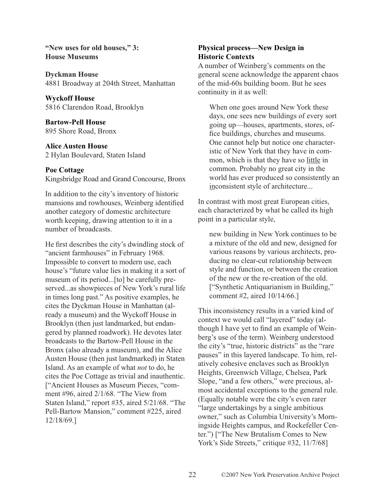**"New uses for old houses," 3: House Museums**

**Dyckman House** 4881 Broadway at 204th Street, Manhattan

**Wyckoff House** 5816 Clarendon Road, Brooklyn

**Bartow-Pell House** 895 Shore Road, Bronx

## **Alice Austen House**

2 Hylan Boulevard, Staten Island

## **Poe Cottage**

Kingsbridge Road and Grand Concourse, Bronx

In addition to the city's inventory of historic mansions and rowhouses, Weinberg identified another category of domestic architecture worth keeping, drawing attention to it in a number of broadcasts.

He first describes the city's dwindling stock of "ancient farmhouses" in February 1968. Impossible to convert to modern use, each house's "future value lies in making it a sort of museum of its period...[to] be carefully preserved...as showpieces of New York's rural life in times long past." As positive examples, he cites the Dyckman House in Manhattan (already a museum) and the Wyckoff House in Brooklyn (then just landmarked, but endangered by planned roadwork). He devotes later broadcasts to the Bartow-Pell House in the Bronx (also already a museum), and the Alice Austen House (then just landmarked) in Staten Island. As an example of what *not* to do, he cites the Poe Cottage as trivial and inauthentic. ["Ancient Houses as Museum Pieces, "comment #96, aired 2/1/68. "The View from Staten Island," report #35, aired 5/21/68. "The Pell-Bartow Mansion," comment #225, aired 12/18/69.]

# **Physical process—New Design in Historic Contexts**

A number of Weinberg's comments on the general scene acknowledge the apparent chaos of the mid-60s building boom. But he sees continuity in it as well:

When one goes around New York these days, one sees new buildings of every sort going up—houses, apartments, stores, office buildings, churches and museums. One cannot help but notice one characteristic of New York that they have in common, which is that they have so little in common. Probably no great city in the world has ever produced so consistently an inconsistent style of architecture...

In contrast with most great European cities, each characterized by what he called its high point in a particular style,

new building in New York continues to be a mixture of the old and new, designed for various reasons by various architects, producing no clear-cut relationship between style and function, or between the creation of the new or the re-creation of the old. ["Synthetic Antiquarianism in Building," comment #2, aired 10/14/66.]

This inconsistency results in a varied kind of context we would call "layered" today (although I have yet to find an example of Weinberg's use of the term). Weinberg understood the city's "true, historic districts" as the "rare pauses" in this layered landscape. To him, relatively cohesive enclaves such as Brooklyn Heights, Greenwich Village, Chelsea, Park Slope, "and a few others," were precious, almost accidental exceptions to the general rule. (Equally notable were the city's even rarer "large undertakings by a single ambitious owner," such as Columbia University's Morningside Heights campus, and Rockefeller Center.") ["The New Brutalism Comes to New York's Side Streets," critique #32, 11/7/68]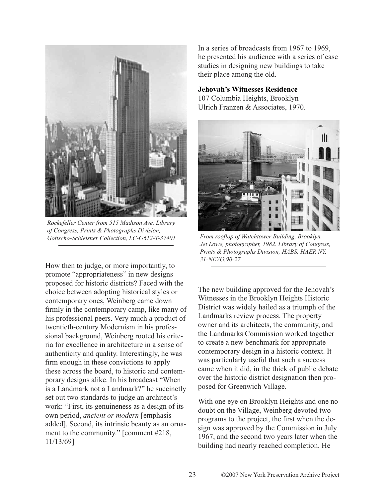

*Rockefeller Center from 515 Madison Ave. Library of Congress, Prints & Photographs Division, Gottscho-Schleisner Collection, LC-G612-T-37401 From rooftop of Watchtower Building, Brooklyn.* 

How then to judge, or more importantly, to promote "appropriateness" in new designs proposed for historic districts? Faced with the choice between adopting historical styles or contemporary ones, Weinberg came down firmly in the contemporary camp, like many of his professional peers. Very much a product of twentieth-century Modernism in his professional background, Weinberg rooted his criteria for excellence in architecture in a sense of authenticity and quality. Interestingly, he was firm enough in these convictions to apply these across the board, to historic and contemporary designs alike. In his broadcast "When is a Landmark not a Landmark?" he succinctly set out two standards to judge an architect's work: "First, its genuineness as a design of its own period, *ancient or modern* [emphasis added]. Second, its intrinsic beauty as an ornament to the community." [comment #218, 11/13/69]

In a series of broadcasts from 1967 to 1969, he presented his audience with a series of case studies in designing new buildings to take their place among the old.

## **Jehovah's Witnesses Residence**

107 Columbia Heights, Brooklyn Ulrich Franzen & Associates, 1970.



*Jet Lowe, photographer, 1982. Library of Congress, Prints & Photographs Division, HABS, HAER NY, 31-NEYO,90-27*

The new building approved for the Jehovah's Witnesses in the Brooklyn Heights Historic District was widely hailed as a triumph of the Landmarks review process. The property owner and its architects, the community, and the Landmarks Commission worked together to create a new benchmark for appropriate contemporary design in a historic context. It was particularly useful that such a success came when it did, in the thick of public debate over the historic district designation then proposed for Greenwich Village.

With one eye on Brooklyn Heights and one no doubt on the Village, Weinberg devoted two programs to the project, the first when the design was approved by the Commission in July 1967, and the second two years later when the building had nearly reached completion. He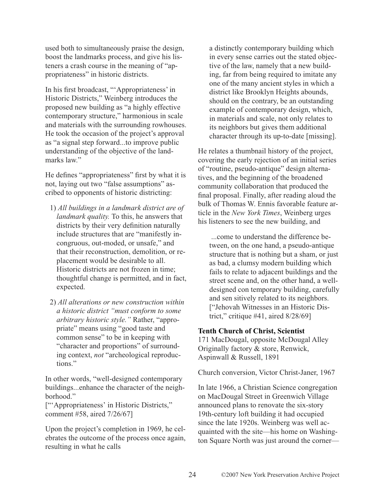used both to simultaneously praise the design, boost the landmarks process, and give his listeners a crash course in the meaning of "appropriateness" in historic districts.

In his first broadcast, "'Appropriateness' in Historic Districts," Weinberg introduces the proposed new building as "a highly effective contemporary structure," harmonious in scale and materials with the surrounding rowhouses. He took the occasion of the project's approval as "a signal step forward...to improve public understanding of the objective of the landmarks law"

He defines "appropriateness" first by what it is not, laying out two "false assumptions" ascribed to opponents of historic districting:

- 1) *All buildings in a landmark district are of landmark quality.* To this, he answers that districts by their very definition naturally include structures that are "manifestly incongruous, out-moded, or unsafe," and that their reconstruction, demolition, or replacement would be desirable to all. Historic districts are not frozen in time; thoughtful change is permitted, and in fact, expected.
- 2) *All alterations or new construction within a historic district "must conform to some arbitrary historic style."* Rather, "appropriate" means using "good taste and common sense" to be in keeping with "character and proportions" of surrounding context, *not* "archeological reproductions."

In other words, "well-designed contemporary buildings...enhance the character of the neighborhood."

["'Appropriateness' in Historic Districts," comment #58, aired 7/26/67]

Upon the project's completion in 1969, he celebrates the outcome of the process once again, resulting in what he calls

a distinctly contemporary building which in every sense carries out the stated objective of the law, namely that a new building, far from being required to imitate any one of the many ancient styles in which a district like Brooklyn Heights abounds, should on the contrary, be an outstanding example of contemporary design, which, in materials and scale, not only relates to its neighbors but gives them additional character through its up-to-date [missing].

He relates a thumbnail history of the project, covering the early rejection of an initial series of "routine, pseudo-antique" design alternatives, and the beginning of the broadened community collaboration that produced the final proposal. Finally, after reading aloud the bulk of Thomas W. Ennis favorable feature article in the *New York Times*, Weinberg urges his listeners to see the new building, and

...come to understand the difference between, on the one hand, a pseudo-antique structure that is nothing but a sham, or just as bad, a clumsy modern building which fails to relate to adjacent buildings and the street scene and, on the other hand, a welldesigned con temporary building, carefully and sen sitively related to its neighbors. ["Jehovah Witnesses in an Historic District," critique #41, aired 8/28/69]

## **Tenth Church of Christ, Scientist**

171 MacDougal, opposite McDougal Alley Originally factory & store, Renwick, Aspinwall & Russell, 1891

Church conversion, Victor Christ-Janer, 1967

In late 1966, a Christian Science congregation on MacDougal Street in Greenwich Village announced plans to renovate the six-story 19th-century loft building it had occupied since the late 1920s. Weinberg was well acquainted with the site—his home on Washington Square North was just around the corner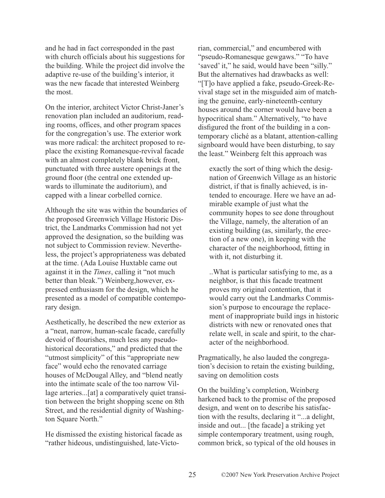and he had in fact corresponded in the past with church officials about his suggestions for the building. While the project did involve the adaptive re-use of the building's interior, it was the new facade that interested Weinberg the most.

On the interior, architect Victor Christ-Janer's renovation plan included an auditorium, reading rooms, offices, and other program spaces for the congregation's use. The exterior work was more radical: the architect proposed to replace the existing Romanesque-revival facade with an almost completely blank brick front, punctuated with three austere openings at the ground floor (the central one extended upwards to illuminate the auditorium), and capped with a linear corbelled cornice.

Although the site was within the boundaries of the proposed Greenwich Village Historic District, the Landmarks Commission had not yet approved the designation, so the building was not subject to Commission review. Nevertheless, the project's appropriateness was debated at the time. (Ada Louise Huxtable came out against it in the *Times*, calling it "not much better than bleak.") Weinberg,however, expressed enthusiasm for the design, which he presented as a model of compatible contemporary design.

Aesthetically, he described the new exterior as a "neat, narrow, human-scale facade, carefully devoid of flourishes, much less any pseudohistorical decorations," and predicted that the "utmost simplicity" of this "appropriate new face" would echo the renovated carriage houses of McDougal Alley, and "blend neatly into the intimate scale of the too narrow Village arteries...[at] a comparatively quiet transition between the bright shopping scene on 8th Street, and the residential dignity of Washington Square North."

He dismissed the existing historical facade as "rather hideous, undistinguished, late-Victorian, commercial," and encumbered with "pseudo-Romanesque gewgaws." "To have 'saved' it," he said, would have been "silly." But the alternatives had drawbacks as well: "[T]o have applied a fake, pseudo-Greek-Revival stage set in the misguided aim of matching the genuine, early-nineteenth-century houses around the corner would have been a hypocritical sham." Alternatively, "to have disfigured the front of the building in a contemporary cliché as a blatant, attention-calling signboard would have been disturbing, to say the least." Weinberg felt this approach was

exactly the sort of thing which the designation of Greenwich Village as an historic district, if that is finally achieved, is intended to encourage. Here we have an admirable example of just what the community hopes to see done throughout the Village, namely, the alteration of an existing building (as, similarly, the erection of a new one), in keeping with the character of the neighborhood, fitting in with it, not disturbing it.

..What is particular satisfying to me, as a neighbor, is that this facade treatment proves my original contention, that it would carry out the Landmarks Commission's purpose to encourage the replacement of inappropriate build ings in historic districts with new or renovated ones that relate well, in scale and spirit, to the character of the neighborhood.

Pragmatically, he also lauded the congregation's decision to retain the existing building, saving on demolition costs

On the building's completion, Weinberg harkened back to the promise of the proposed design, and went on to describe his satisfaction with the results, declaring it "...a delight, inside and out... [the facade] a striking yet simple contemporary treatment, using rough, common brick, so typical of the old houses in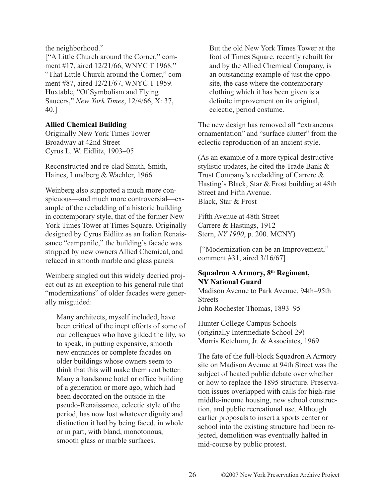the neighborhood."

["A Little Church around the Corner," comment #17, aired 12/21/66, WNYC T 1968." "That Little Church around the Corner," comment #87, aired 12/21/67, WNYC T 1959. Huxtable, "Of Symbolism and Flying Saucers," *New York Times*, 12/4/66, X: 37, 40.]

## **Allied Chemical Building**

Originally New York Times Tower Broadway at 42nd Street Cyrus L. W. Eidlitz, 1903–05

Reconstructed and re-clad Smith, Smith, Haines, Lundberg & Waehler, 1966

Weinberg also supported a much more conspicuous—and much more controversial—example of the recladding of a historic building in contemporary style, that of the former New York Times Tower at Times Square. Originally designed by Cyrus Eidlitz as an Italian Renaissance "campanile," the building's facade was stripped by new owners Allied Chemical, and refaced in smooth marble and glass panels.

Weinberg singled out this widely decried project out as an exception to his general rule that "modernizations" of older facades were generally misguided:

Many architects, myself included, have been critical of the inept efforts of some of our colleagues who have gilded the lily, so to speak, in putting expensive, smooth new entrances or complete facades on older buildings whose owners seem to think that this will make them rent better. Many a handsome hotel or office building of a generation or more ago, which had been decorated on the outside in the pseudo-Renaissance, eclectic style of the period, has now lost whatever dignity and distinction it had by being faced, in whole or in part, with bland, monotonous, smooth glass or marble surfaces.

But the old New York Times Tower at the foot of Times Square, recently rebuilt for and by the Allied Chemical Company, is an outstanding example of just the opposite, the case where the contemporary clothing which it has been given is a definite improvement on its original, eclectic, period costume.

The new design has removed all "extraneous ornamentation" and "surface clutter" from the eclectic reproduction of an ancient style.

(As an example of a more typical destructive stylistic updates, he cited the Trade Bank & Trust Company's recladding of Carrere & Hasting's Black, Star & Frost building at 48th Street and Fifth Avenue. Black, Star & Frost

Fifth Avenue at 48th Street Carrere & Hastings, 1912 Stern, *NY 1900*, p. 200. MCNY)

["Modernization can be an Improvement," comment #31, aired 3/16/67]

# **Squadron A Armory, 8th Regiment, NY National Guard**

Madison Avenue to Park Avenue, 94th–95th **Streets** John Rochester Thomas, 1893–95

Hunter College Campus Schools (originally Intermediate School 29) Morris Ketchum, Jr. & Associates, 1969

The fate of the full-block Squadron A Armory site on Madison Avenue at 94th Street was the subject of heated public debate over whether or how to replace the 1895 structure. Preservation issues overlapped with calls for high-rise middle-income housing, new school construction, and public recreational use. Although earlier proposals to insert a sports center or school into the existing structure had been rejected, demolition was eventually halted in mid-course by public protest.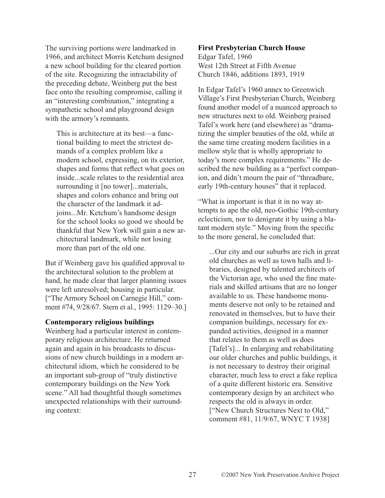The surviving portions were landmarked in 1966, and architect Morris Ketchum designed a new school building for the cleared portion of the site. Recognizing the intractability of the preceding debate, Weinberg put the best face onto the resulting compromise, calling it an "interesting combination," integrating a sympathetic school and playground design with the armory's remnants.

This is architecture at its best—a functional building to meet the strictest demands of a complex problem like a modern school, expressing, on its exterior, shapes and forms that reflect what goes on inside...scale relates to the residential area surrounding it [no tower]...materials, shapes and colors enhance and bring out the character of the landmark it adjoins...Mr. Ketchum's handsome design for the school looks so good we should be thankful that New York will gain a new architectural landmark, while not losing more than part of the old one.

But if Weinberg gave his qualified approval to the architectural solution to the problem at hand, he made clear that larger planning issues were left unresolved; housing in particular. ["The Armory School on Carnegie Hill," comment #74, 9/28/67. Stern et al., 1995: 1129–30.]

#### **Contemporary religious buildings**

Weinberg had a particular interest in contemporary religious architecture. He returned again and again in his broadcasts to discussions of new church buildings in a modern architectural idiom, which he considered to be an important sub-group of "truly distinctive contemporary buildings on the New York scene." All had thoughtful though sometimes unexpected relationships with their surrounding context:

#### **First Presbyterian Church House**

Edgar Tafel, 1960 West 12th Street at Fifth Avenue Church 1846, additions 1893, 1919

In Edgar Tafel's 1960 annex to Greenwich Village's First Presbyterian Church, Weinberg found another model of a nuanced approach to new structures next to old. Weinberg praised Tafel's work here (and elsewhere) as "dramatizing the simpler beauties of the old, while at the same time creating modern facilities in a mellow style that is wholly appropriate to today's more complex requirements." He described the new building as a "perfect companion, and didn't mourn the pair of "threadbare, early 19th-century houses" that it replaced.

"What is important is that it in no way attempts to ape the old, neo-Gothic 19th-century eclecticism, nor to denigrate it by using a blatant modern style." Moving from the specific to the more general, he concluded that:

...Our city and our suburbs are rich in great old churches as well as town halls and libraries, designed by talented architects of the Victorian age, who used the fine materials and skilled artisans that are no longer available to us. These handsome monuments deserve not only to be retained and renovated in themselves, but to have their companion buildings, necessary for expanded activities, designed in a manner that relates to them as well as does [Tafel's]... In enlarging and rehabilitating our older churches and public buildings, it is not necessary to destroy their original character, much less to erect a fake replica of a quite different historic era. Sensitive contemporary design by an architect who respects the old is always in order. ["New Church Structures Next to Old," comment #81, 11/9/67, WNYC T 1938]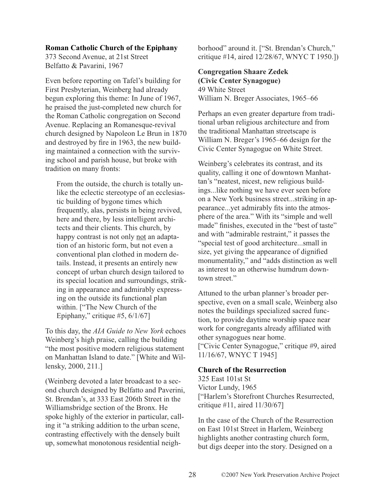#### **Roman Catholic Church of the Epiphany**

373 Second Avenue, at 21st Street Belfatto & Pavarini, 1967

Even before reporting on Tafel's building for First Presbyterian, Weinberg had already begun exploring this theme: In June of 1967, he praised the just-completed new church for the Roman Catholic congregation on Second Avenue. Replacing an Romanesque-revival church designed by Napoleon Le Brun in 1870 and destroyed by fire in 1963, the new building maintained a connection with the surviving school and parish house, but broke with tradition on many fronts:

From the outside, the church is totally unlike the eclectic stereotype of an ecclesiastic building of bygone times which frequently, alas, persists in being revived, here and there, by less intelligent architects and their clients. This church, by happy contrast is not only not an adaptation of an historic form, but not even a conventional plan clothed in modern details. Instead, it presents an entirely new concept of urban church design tailored to its special location and surroundings, striking in appearance and admirably expressing on the outside its functional plan within. ["The New Church of the Epiphany," critique #5,  $6/1/67$ ]

To this day, the *AIA Guide to New York* echoes Weinberg's high praise, calling the building "the most positive modern religious statement on Manhattan Island to date." [White and Willensky, 2000, 211.]

(Weinberg devoted a later broadcast to a second church designed by Belfatto and Paverini, St. Brendan's, at 333 East 206th Street in the Williamsbridge section of the Bronx. He spoke highly of the exterior in particular, calling it "a striking addition to the urban scene, contrasting effectively with the densely built up, somewhat monotonous residential neighborhood" around it. ["St. Brendan's Church," critique #14, aired 12/28/67, WNYC T 1950.])

## **Congregation Shaare Zedek (Civic Center Synagogue)**

49 White Street William N. Breger Associates, 1965–66

Perhaps an even greater departure from traditional urban religious architecture and from the traditional Manhattan streetscape is William N. Breger's 1965–66 design for the Civic Center Synagogue on White Street.

Weinberg's celebrates its contrast, and its quality, calling it one of downtown Manhattan's "neatest, nicest, new religious buildings...like nothing we have ever seen before on a New York business street...striking in appearance...yet admirably fits into the atmosphere of the area." With its "simple and well made" finishes, executed in the "best of taste" and with "admirable restraint," it passes the "special test of good architecture...small in size, yet giving the appearance of dignified monumentality," and "adds distinction as well as interest to an otherwise humdrum downtown street."

Attuned to the urban planner's broader perspective, even on a small scale, Weinberg also notes the buildings specialized sacred function, to provide daytime worship space near work for congregants already affiliated with other synagogues near home. ["Civic Center Synagogue," critique #9, aired 11/16/67, WNYC T 1945]

#### **Church of the Resurrection**

325 East 101st St Victor Lundy, 1965 ["Harlem's Storefront Churches Resurrected, critique #11, aired 11/30/67]

In the case of the Church of the Resurrection on East 101st Street in Harlem, Weinberg highlights another contrasting church form, but digs deeper into the story. Designed on a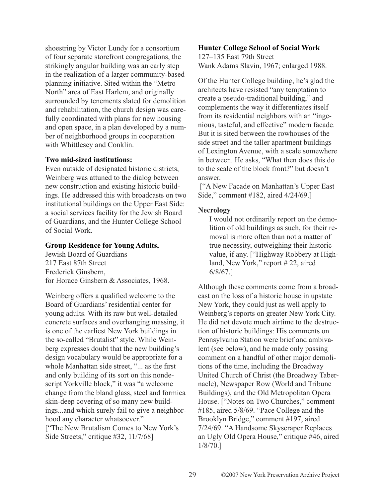shoestring by Victor Lundy for a consortium of four separate storefront congregations, the strikingly angular building was an early step in the realization of a larger community-based planning initiative. Sited within the "Metro North" area of East Harlem, and originally surrounded by tenements slated for demolition and rehabilitation, the church design was carefully coordinated with plans for new housing and open space, in a plan developed by a number of neighborhood groups in cooperation with Whittlesey and Conklin.

#### **Two mid-sized institutions:**

Even outside of designated historic districts, Weinberg was attuned to the dialog between new construction and existing historic buildings. He addressed this with broadcasts on two institutional buildings on the Upper East Side: a social services facility for the Jewish Board of Guardians, and the Hunter College School of Social Work.

## **Group Residence for Young Adults,**

Jewish Board of Guardians 217 East 87th Street Frederick Ginsbern, for Horace Ginsbern & Associates, 1968.

Weinberg offers a qualified welcome to the Board of Guardians' residential center for young adults. With its raw but well-detailed concrete surfaces and overhanging massing, it is one of the earliest New York buildings in the so-called "Brutalist" style. While Weinberg expresses doubt that the new building's design vocabulary would be appropriate for a whole Manhattan side street, "... as the first and only building of its sort on this nondescript Yorkville block," it was "a welcome change from the bland glass, steel and formica skin-deep covering of so many new buildings...and which surely fail to give a neighborhood any character whatsoever." ["The New Brutalism Comes to New York's Side Streets," critique #32, 11/7/68]

## **Hunter College School of Social Work**

127–135 East 79th Street Wank Adams Slavin, 1967; enlarged 1988.

Of the Hunter College building, he's glad the architects have resisted "any temptation to create a pseudo-traditional building," and complements the way it differentiates itself from its residential neighbors with an "ingenious, tasteful, and effective" modern facade. But it is sited between the rowhouses of the side street and the taller apartment buildings of Lexington Avenue, with a scale somewhere in between. He asks, "What then does this do to the scale of the block front?" but doesn't answer.

["A New Facade on Manhattan's Upper East Side," comment #182, aired 4/24/69.]

#### **Necrology**

I would not ordinarily report on the demolition of old buildings as such, for their removal is more often than not a matter of true necessity, outweighing their historic value, if any. ["Highway Robbery at Highland, New York," report # 22, aired 6/8/67.]

Although these comments come from a broadcast on the loss of a historic house in upstate New York, they could just as well apply to Weinberg's reports on greater New York City. He did not devote much airtime to the destruction of historic buildings: His comments on Pennsylvania Station were brief and ambivalent (see below), and he made only passing comment on a handful of other major demolitions of the time, including the Broadway United Church of Christ (the Broadway Tabernacle), Newspaper Row (World and Tribune Buildings), and the Old Metropolitan Opera House. ["Notes on Two Churches," comment #185, aired 5/8/69. "Pace College and the Brooklyn Bridge," comment #197, aired 7/24/69. "A Handsome Skyscraper Replaces an Ugly Old Opera House," critique #46, aired 1/8/70.]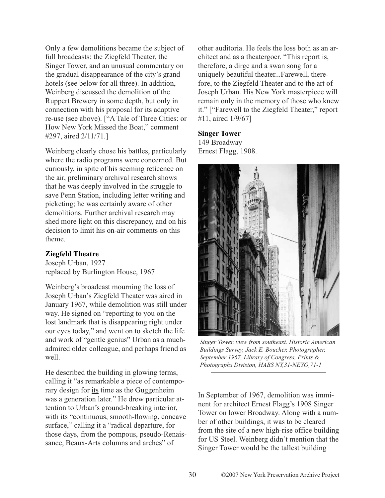Only a few demolitions became the subject of full broadcasts: the Ziegfeld Theater, the Singer Tower, and an unusual commentary on the gradual disappearance of the city's grand hotels (see below for all three). In addition, Weinberg discussed the demolition of the Ruppert Brewery in some depth, but only in connection with his proposal for its adaptive re-use (see above). ["A Tale of Three Cities: or How New York Missed the Boat," comment #297, aired 2/11/71.]

Weinberg clearly chose his battles, particularly where the radio programs were concerned. But curiously, in spite of his seeming reticence on the air, preliminary archival research shows that he was deeply involved in the struggle to save Penn Station, including letter writing and picketing; he was certainly aware of other demolitions. Further archival research may shed more light on this discrepancy, and on his decision to limit his on-air comments on this theme.

## **Ziegfeld Theatre**

Joseph Urban, 1927 replaced by Burlington House, 1967

Weinberg's broadcast mourning the loss of Joseph Urban's Ziegfeld Theater was aired in January 1967, while demolition was still under way. He signed on "reporting to you on the lost landmark that is disappearing right under our eyes today," and went on to sketch the life and work of "gentle genius" Urban as a muchadmired older colleague, and perhaps friend as well.

He described the building in glowing terms, calling it "as remarkable a piece of contemporary design for its time as the Guggenheim was a generation later." He drew particular attention to Urban's ground-breaking interior, with its "continuous, smooth-flowing, concave surface," calling it a "radical departure, for those days, from the pompous, pseudo-Renaissance, Beaux-Arts columns and arches" of

other auditoria. He feels the loss both as an architect and as a theatergoer. "This report is, therefore, a dirge and a swan song for a uniquely beautiful theater...Farewell, therefore, to the Ziegfeld Theater and to the art of Joseph Urban. His New York masterpiece will remain only in the memory of those who knew it." ["Farewell to the Ziegfeld Theater," report #11, aired 1/9/67]

## **Singer Tower**

149 Broadway Ernest Flagg, 1908.



*Singer Tower, view from southeast. Historic American Buildings Survey, Jack E. Boucher, Photographer, September 1967, Library of Congress, Prints & Photographs Division, HABS NY,31-NEYO,71-1*

In September of 1967, demolition was imminent for architect Ernest Flagg's 1908 Singer Tower on lower Broadway. Along with a number of other buildings, it was to be cleared from the site of a new high-rise office building for US Steel. Weinberg didn't mention that the Singer Tower would be the tallest building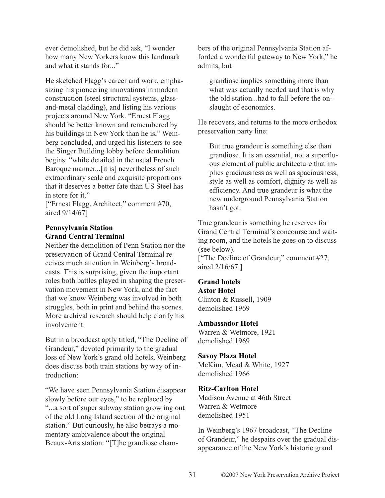ever demolished, but he did ask, "I wonder how many New Yorkers know this landmark and what it stands for..."

He sketched Flagg's career and work, emphasizing his pioneering innovations in modern construction (steel structural systems, glassand-metal cladding), and listing his various projects around New York. "Ernest Flagg should be better known and remembered by his buildings in New York than he is," Weinberg concluded, and urged his listeners to see the Singer Building lobby before demolition begins: "while detailed in the usual French Baroque manner...[it is] nevertheless of such extraordinary scale and exquisite proportions that it deserves a better fate than US Steel has in store for it."

["Ernest Flagg, Architect," comment #70, aired 9/14/67]

# **Pennsylvania Station Grand Central Terminal**

Neither the demolition of Penn Station nor the preservation of Grand Central Terminal receives much attention in Weinberg's broadcasts. This is surprising, given the important roles both battles played in shaping the preservation movement in New York, and the fact that we know Weinberg was involved in both struggles, both in print and behind the scenes. More archival research should help clarify his involvement.

But in a broadcast aptly titled, "The Decline of Grandeur," devoted primarily to the gradual loss of New York's grand old hotels, Weinberg does discuss both train stations by way of introduction:

"We have seen Pennsylvania Station disappear slowly before our eyes," to be replaced by "...a sort of super subway station grow ing out of the old Long Island section of the original station." But curiously, he also betrays a momentary ambivalence about the original Beaux-Arts station: "[T]he grandiose chambers of the original Pennsylvania Station afforded a wonderful gateway to New York," he admits, but

grandiose implies something more than what was actually needed and that is why the old station...had to fall before the onslaught of economics.

He recovers, and returns to the more orthodox preservation party line:

But true grandeur is something else than grandiose. It is an essential, not a superfluous element of public architecture that implies graciousness as well as spaciousness, style as well as comfort, dignity as well as efficiency. And true grandeur is what the new underground Pennsylvania Station hasn't got.

True grandeur is something he reserves for Grand Central Terminal's concourse and waiting room, and the hotels he goes on to discuss (see below).

["The Decline of Grandeur," comment #27, aired 2/16/67.]

## **Grand hotels**

#### **Astor Hotel**

Clinton & Russell, 1909 demolished 1969

#### **Ambassador Hotel**

Warren & Wetmore, 1921 demolished 1969

## **Savoy Plaza Hotel**

McKim, Mead & White, 1927 demolished 1966

## **Ritz-Carlton Hotel**

Madison Avenue at 46th Street Warren & Wetmore demolished 1951

In Weinberg's 1967 broadcast, "The Decline of Grandeur," he despairs over the gradual disappearance of the New York's historic grand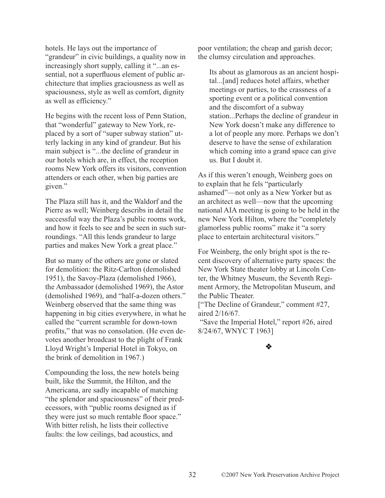hotels. He lays out the importance of "grandeur" in civic buildings, a quality now in increasingly short supply, calling it "...an essential, not a superfluous element of public architecture that implies graciousness as well as spaciousness, style as well as comfort, dignity as well as efficiency."

He begins with the recent loss of Penn Station, that "wonderful" gateway to New York, replaced by a sort of "super subway station" utterly lacking in any kind of grandeur. But his main subject is "...the decline of grandeur in our hotels which are, in effect, the reception rooms New York offers its visitors, convention attenders or each other, when big parties are given."

The Plaza still has it, and the Waldorf and the Pierre as well; Weinberg describs in detail the successful way the Plaza's public rooms work, and how it feels to see and be seen in such surroundings. "All this lends grandeur to large parties and makes New York a great place."

But so many of the others are gone or slated for demolition: the Ritz-Carlton (demolished 1951), the Savoy-Plaza (demolished 1966), the Ambassador (demolished 1969), the Astor (demolished 1969), and "half-a-dozen others." Weinberg observed that the same thing was happening in big cities everywhere, in what he called the "current scramble for down-town profits," that was no consolation. (He even devotes another broadcast to the plight of Frank Lloyd Wright's Imperial Hotel in Tokyo, on the brink of demolition in 1967.)

Compounding the loss, the new hotels being built, like the Summit, the Hilton, and the Americana, are sadly incapable of matching "the splendor and spaciousness" of their predecessors, with "public rooms designed as if they were just so much rentable floor space." With bitter relish, he lists their collective faults: the low ceilings, bad acoustics, and

poor ventilation; the cheap and garish decor; the clumsy circulation and approaches.

Its about as glamorous as an ancient hospital...[and] reduces hotel affairs, whether meetings or parties, to the crassness of a sporting event or a political convention and the discomfort of a subway station...Perhaps the decline of grandeur in New York doesn't make any difference to a lot of people any more. Perhaps we don't deserve to have the sense of exhilaration which coming into a grand space can give us. But I doubt it.

As if this weren't enough, Weinberg goes on to explain that he fels "particularly ashamed"—not only as a New Yorker but as an architect as well—now that the upcoming national AIA meeting is going to be held in the new New York Hilton, where the "completely glamorless public rooms" make it "a sorry place to entertain architectural visitors."

For Weinberg, the only bright spot is the recent discovery of alternative party spaces: the New York State theater lobby at Lincoln Center, the Whitney Museum, the Seventh Regiment Armory, the Metropolitan Museum, and the Public Theater.

["The Decline of Grandeur," comment #27, aired 2/16/67.

"Save the Imperial Hotel," report #26, aired 8/24/67, WNYC T 1963]

# -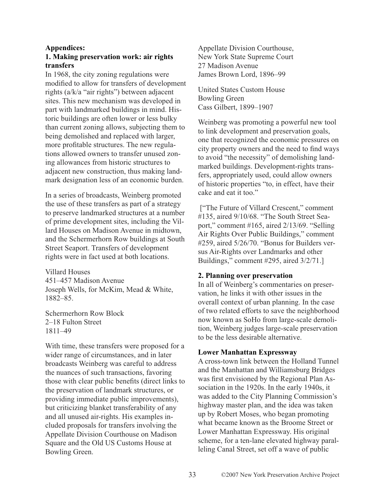## **Appendices:**

## **1. Making preservation work: air rights transfers**

In 1968, the city zoning regulations were modified to allow for transfers of development rights (a/k/a "air rights") between adjacent sites. This new mechanism was developed in part with landmarked buildings in mind. Historic buildings are often lower or less bulky than current zoning allows, subjecting them to being demolished and replaced with larger, more profitable structures. The new regulations allowed owners to transfer unused zoning allowances from historic structures to adjacent new construction, thus making landmark designation less of an economic burden.

In a series of broadcasts, Weinberg promoted the use of these transfers as part of a strategy to preserve landmarked structures at a number of prime development sites, including the Villard Houses on Madison Avenue in midtown, and the Schermerhorn Row buildings at South Street Seaport. Transfers of development rights were in fact used at both locations.

Villard Houses 451–457 Madison Avenue Joseph Wells, for McKim, Mead & White, 1882–85.

Schermerhorn Row Block 2–18 Fulton Street 1811–49

With time, these transfers were proposed for a wider range of circumstances, and in later broadcasts Weinberg was careful to address the nuances of such transactions, favoring those with clear public benefits (direct links to the preservation of landmark structures, or providing immediate public improvements), but criticizing blanket transferability of any and all unused air-rights. His examples included proposals for transfers involving the Appellate Division Courthouse on Madison Square and the Old US Customs House at Bowling Green.

Appellate Division Courthouse, New York State Supreme Court 27 Madison Avenue James Brown Lord, 1896–99

United States Custom House Bowling Green Cass Gilbert, 1899–1907

Weinberg was promoting a powerful new tool to link development and preservation goals, one that recognized the economic pressures on city property owners and the need to find ways to avoid "the necessity" of demolishing landmarked buildings. Development-rights transfers, appropriately used, could allow owners of historic properties "to, in effect, have their cake and eat it too."

["The Future of Villard Crescent," comment #135, aired 9/10/68. "The South Street Seaport," comment #165, aired 2/13/69. "Selling Air Rights Over Public Buildings," comment #259, aired 5/26/70. "Bonus for Builders versus Air-Rights over Landmarks and other Buildings," comment #295, aired 3/2/71.]

#### **2. Planning over preservation**

In all of Weinberg's commentaries on preservation, he links it with other issues in the overall context of urban planning. In the case of two related efforts to save the neighborhood now known as SoHo from large-scale demolition, Weinberg judges large-scale preservation to be the less desirable alternative.

#### **Lower Manhattan Expressway**

A cross-town link between the Holland Tunnel and the Manhattan and Williamsburg Bridges was first envisioned by the Regional Plan Association in the 1920s. In the early 1940s, it was added to the City Planning Commission's highway master plan, and the idea was taken up by Robert Moses, who began promoting what became known as the Broome Street or Lower Manhattan Expressway. His original scheme, for a ten-lane elevated highway paralleling Canal Street, set off a wave of public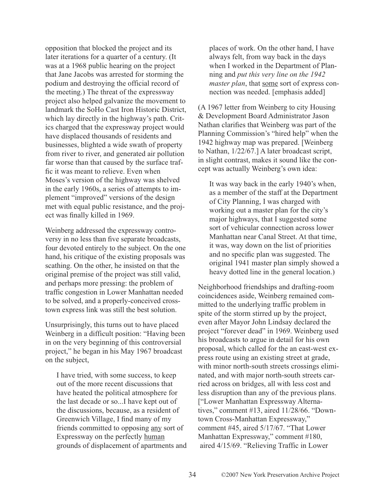opposition that blocked the project and its later iterations for a quarter of a century. (It was at a 1968 public hearing on the project that Jane Jacobs was arrested for storming the podium and destroying the official record of the meeting.) The threat of the expressway project also helped galvanize the movement to landmark the SoHo Cast Iron Historic District, which lay directly in the highway's path. Critics charged that the expressway project would have displaced thousands of residents and businesses, blighted a wide swath of property from river to river, and generated air pollution far worse than that caused by the surface traffic it was meant to relieve. Even when Moses's version of the highway was shelved in the early 1960s, a series of attempts to implement "improved" versions of the design met with equal public resistance, and the project was finally killed in 1969.

Weinberg addressed the expressway controversy in no less than five separate broadcasts, four devoted entirely to the subject. On the one hand, his critique of the existing proposals was scathing. On the other, he insisted on that the original premise of the project was still valid, and perhaps more pressing: the problem of traffic congestion in Lower Manhattan needed to be solved, and a properly-conceived crosstown express link was still the best solution.

Unsurprisingly, this turns out to have placed Weinberg in a difficult position: "Having been in on the very beginning of this controversial project," he began in his May 1967 broadcast on the subject,

I have tried, with some success, to keep out of the more recent discussions that have heated the political atmosphere for the last decade or so...I have kept out of the discussions, because, as a resident of Greenwich Village, I find many of my friends committed to opposing any sort of Expressway on the perfectly human grounds of displacement of apartments and

places of work. On the other hand, I have always felt, from way back in the days when I worked in the Department of Planning and *put this very line on the 1942 master plan*, that some sort of express connection was needed. [emphasis added]

(A 1967 letter from Weinberg to city Housing & Development Board Administrator Jason Nathan clarifies that Weinberg was part of the Planning Commission's "hired help" when the 1942 highway map was prepared. [Weinberg to Nathan, 1/22/67.] A later broadcast script, in slight contrast, makes it sound like the concept was actually Weinberg's own idea:

It was way back in the early 1940's when, as a member of the staff at the Department of City Planning, I was charged with working out a master plan for the city's major highways, that I suggested some sort of vehicular connection across lower Manhattan near Canal Street. At that time, it was, way down on the list of priorities and no specific plan was suggested. The original 1941 master plan simply showed a heavy dotted line in the general location.)

Neighborhood friendships and drafting-room coincidences aside, Weinberg remained committed to the underlying traffic problem in spite of the storm stirred up by the project, even after Mayor John Lindsay declared the project "forever dead" in 1969. Weinberg used his broadcasts to argue in detail for his own proposal, which called for the an east-west express route using an existing street at grade, with minor north-south streets crossings eliminated, and with major north-south streets carried across on bridges, all with less cost and less disruption than any of the previous plans. ["Lower Manhattan Expressway Alternatives," comment #13, aired 11/28/66. "Downtown Cross-Manhattan Expressway," comment #45, aired 5/17/67. "That Lower Manhattan Expressway," comment #180, aired 4/15/69. "Relieving Traffic in Lower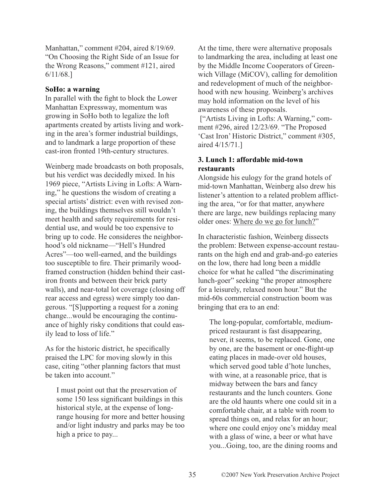Manhattan," comment #204, aired 8/19/69. "On Choosing the Right Side of an Issue for the Wrong Reasons," comment #121, aired 6/11/68.]

### **SoHo: a warning**

In parallel with the fight to block the Lower Manhattan Expressway, momentum was growing in SoHo both to legalize the loft apartments created by artists living and working in the area's former industrial buildings, and to landmark a large proportion of these cast-iron fronted 19th-century structures.

Weinberg made broadcasts on both proposals, but his verdict was decidedly mixed. In his 1969 piece, "Artists Living in Lofts: A Warning," he questions the wisdom of creating a special artists' district: even with revised zoning, the buildings themselves still wouldn't meet health and safety requirements for residential use, and would be too expensive to bring up to code. He consideres the neighborhood's old nickname—"Hell's Hundred Acres"—too well-earned, and the buildings too susceptible to fire. Their primarily woodframed construction (hidden behind their castiron fronts and between their brick party walls), and near-total lot coverage (closing off rear access and egress) were simply too dangerous. "[S]upporting a request for a zoning change...would be encouraging the continuance of highly risky conditions that could easily lead to loss of life."

As for the historic district, he specifically praised the LPC for moving slowly in this case, citing "other planning factors that must be taken into account."

I must point out that the preservation of some 150 less significant buildings in this historical style, at the expense of longrange housing for more and better housing and/or light industry and parks may be too high a price to pay...

At the time, there were alternative proposals to landmarking the area, including at least one by the Middle Income Cooperators of Greenwich Village (MiCOV), calling for demolition and redevelopment of much of the neighborhood with new housing. Weinberg's archives may hold information on the level of his awareness of these proposals.

["Artists Living in Lofts: A Warning," comment #296, aired 12/23/69. "The Proposed 'Cast Iron' Historic District," comment #305, aired 4/15/71.]

## **3. Lunch 1: affordable mid-town restaurants**

Alongside his eulogy for the grand hotels of mid-town Manhattan, Weinberg also drew his listener's attention to a related problem afflicting the area, "or for that matter, anywhere there are large, new buildings replacing many older ones: Where do we go for lunch?"

In characteristic fashion, Weinberg dissects the problem: Between expense-account restaurants on the high end and grab-and-go eateries on the low, there had long been a middle choice for what he called "the discriminating lunch-goer" seeking "the proper atmosphere for a leisurely, relaxed noon hour." But the mid-60s commercial construction boom was bringing that era to an end:

The long-popular, comfortable, mediumpriced restaurant is fast disappearing, never, it seems, to be replaced. Gone, one by one, are the basement or one-flight-up eating places in made-over old houses, which served good table d'hote lunches, with wine, at a reasonable price, that is midway between the bars and fancy restaurants and the lunch counters. Gone are the old haunts where one could sit in a comfortable chair, at a table with room to spread things on, and relax for an hour; where one could enjoy one's midday meal with a glass of wine, a beer or what have you...Going, too, are the dining rooms and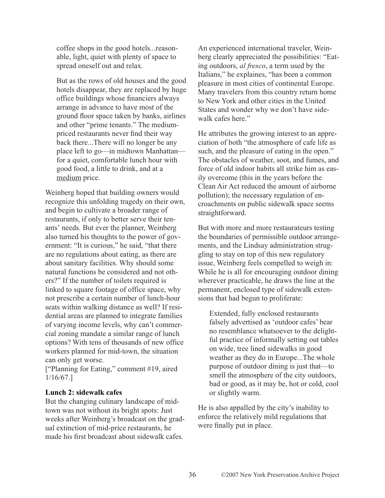coffee shops in the good hotels...reasonable, light, quiet with plenty of space to spread oneself out and relax.

But as the rows of old houses and the good hotels disappear, they are replaced by huge office buildings whose financiers always arrange in advance to have most of the ground floor space taken by banks, airlines and other "prime tenants." The mediumpriced restaurants never find their way back there...There will no longer be any place left to go—in midtown Manhattan for a quiet, comfortable lunch hour with good food, a little to drink, and at a medium price.

Weinberg hoped that building owners would recognize this unfolding tragedy on their own, and begin to cultivate a broader range of restaurants, if only to better serve their tenants' needs. But ever the planner, Weinberg also turned his thoughts to the power of government: "It is curious," he said, "that there are no regulations about eating, as there are about sanitary facilities. Why should some natural functions be considered and not others?" If the number of toilets required is linked to square footage of office space, why not prescribe a certain number of lunch-hour seats within walking distance as well? If residential areas are planned to integrate families of varying income levels, why can't commercial zoning mandate a similar range of lunch options? With tens of thousands of new office workers planned for mid-town, the situation can only get worse.

["Planning for Eating," comment #19, aired 1/16/67.]

## **Lunch 2: sidewalk cafes**

But the changing culinary landscape of midtown was not without its bright spots: Just weeks after Weinberg's broadcast on the gradual extinction of mid-price restaurants, he made his first broadcast about sidewalk cafes.

An experienced international traveler, Weinberg clearly appreciated the possibilities: "Eating outdoors, *al fresco*, a term used by the Italians," he explaines, "has been a common pleasure in most cities of continental Europe. Many travelers from this country return home to New York and other cities in the United States and wonder why we don't have sidewalk cafes here."

He attributes the growing interest to an appreciation of both "the atmosphere of cafe life as such, and the pleasure of eating in the open." The obstacles of weather, soot, and fumes, and force of old indoor habits all strike him as easily overcome (this in the years before the Clean Air Act reduced the amount of airborne pollution); the necessary regulation of encroachments on public sidewalk space seems straightforward.

But with more and more restaurateurs testing the boundaries of permissible outdoor arrangements, and the Lindsay administration struggling to stay on top of this new regulatory issue, Weinberg feels compelled to weigh in: While he is all for encouraging outdoor dining wherever practicable, he draws the line at the permanent, enclosed type of sidewalk extensions that had begun to proliferate:

Extended, fully enclosed restaurants falsely advertised as 'outdoor cafes' bear no resemblance whatsoever to the delightful practice of informally setting out tables on wide, tree lined sidewalks in good weather as they do in Europe...The whole purpose of outdoor dining is just that—to smell the atmosphere of the city outdoors, bad or good, as it may be, hot or cold, cool or slightly warm.

He is also appalled by the city's inability to enforce the relatively mild regulations that were finally put in place.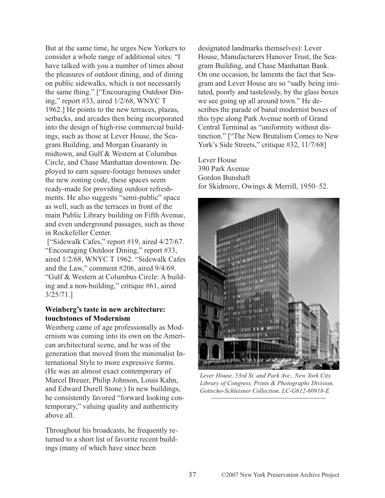But at the same time, he urges New Yorkers to consider a whole range of additional sites: "I have talked with you a number of times about the pleasures of outdoor dining, and of dining on public sidewalks, which is not necessarily the same thing." ["Encouraging Outdoor Dining," report #33, aired 1/2/68, WNYC T 1962.] He points to the new terraces, plazas, setbacks, and arcades then being incorporated into the design of high-rise commercial buildings, such as those at Lever House, the Seagram Building, and Morgan Guaranty in midtown, and Gulf & Western at Columbus Circle, and Chase Manhattan downtown. Deployed to earn square-footage bonuses under the new zoning code, these spaces seem ready-made for providing outdoor refreshments. He also suggests "semi-public" space as well, such as the terraces in front of the main Public Library building on Fifth Avenue, and even underground passages, such as those in Rockefeller Center.

["Sidewalk Cafes," report #19, aired 4/27/67. "Encouraging Outdoor Dining," report #33, aired 1/2/68, WNYC T 1962. "Sidewalk Cafes and the Law," comment #206, aired 9/4/69. "Gulf & Western at Columbus Circle: A building and a non-building," critique #61, aired 3/25/71.]

## **Weinberg's taste in new architecture: touchstones of Modernism**

Weinberg came of age professionally as Modernism was coming into its own on the American architectural scene, and he was of the generation that moved from the minimalist International Style to more expressive forms. (He was an almost exact contemporary of Marcel Breuer, Philip Johnson, Louis Kahn, and Edward Durell Stone.) In new buildings, he consistently favored "forward looking contemporary," valuing quality and authenticity above all.

Throughout his broadcasts, he frequently returned to a short list of favorite recent buildings (many of which have since been

designated landmarks themselves): Lever House, Manufacturers Hanover Trust, the Seagram Building, and Chase Manhattan Bank. On one occasion, he laments the fact that Seagram and Lever House are so "sadly being imitated, poorly and tastelessly, by the glass boxes we see going up all around town." He describes the parade of banal modernist boxes of this type along Park Avenue north of Grand Central Terminal as "uniformity without distinction." ["The New Brutalism Comes to New York's Side Streets," critique #32, 11/7/68]

Lever House 390 Park Avenue Gordon Bunshaft for Skidmore, Owings & Merrill, 1950–52.



*Lever House, 53rd St. and Park Ave., New York City. Library of Congress, Prints & Photographs Division, Gottscho-Schleisner Collection, LC-G612-60918-E*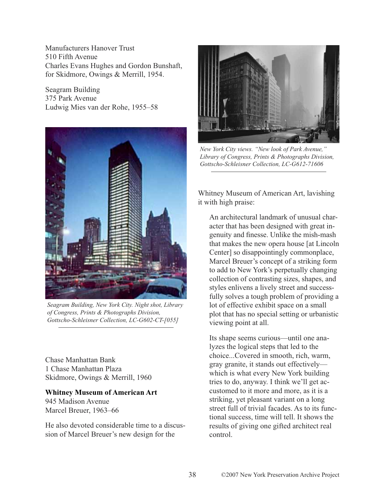Manufacturers Hanover Trust 510 Fifth Avenue Charles Evans Hughes and Gordon Bunshaft, for Skidmore, Owings & Merrill, 1954.

Seagram Building 375 Park Avenue Ludwig Mies van der Rohe, 1955–58



*Seagram Building, New York City. Night shot, Library of Congress, Prints & Photographs Division, Gottscho-Schleisner Collection, LC-G602-CT-[055]*

Chase Manhattan Bank 1 Chase Manhattan Plaza Skidmore, Owings & Merrill, 1960

# **Whitney Museum of American Art**

945 Madison Avenue Marcel Breuer, 1963–66

He also devoted considerable time to a discussion of Marcel Breuer's new design for the



*New York City views. "New look of Park Avenue," Library of Congress, Prints & Photographs Division, Gottscho-Schleisner Collection, LC-G612-71606* 

Whitney Museum of American Art, lavishing it with high praise:

An architectural landmark of unusual character that has been designed with great ingenuity and finesse. Unlike the mish-mash that makes the new opera house [at Lincoln Center] so disappointingly commonplace, Marcel Breuer's concept of a striking form to add to New York's perpetually changing collection of contrasting sizes, shapes, and styles enlivens a lively street and successfully solves a tough problem of providing a lot of effective exhibit space on a small plot that has no special setting or urbanistic viewing point at all.

Its shape seems curious—until one analyzes the logical steps that led to the choice...Covered in smooth, rich, warm, gray granite, it stands out effectively which is what every New York building tries to do, anyway. I think we'll get accustomed to it more and more, as it is a striking, yet pleasant variant on a long street full of trivial facades. As to its functional success, time will tell. It shows the results of giving one gifted architect real control.